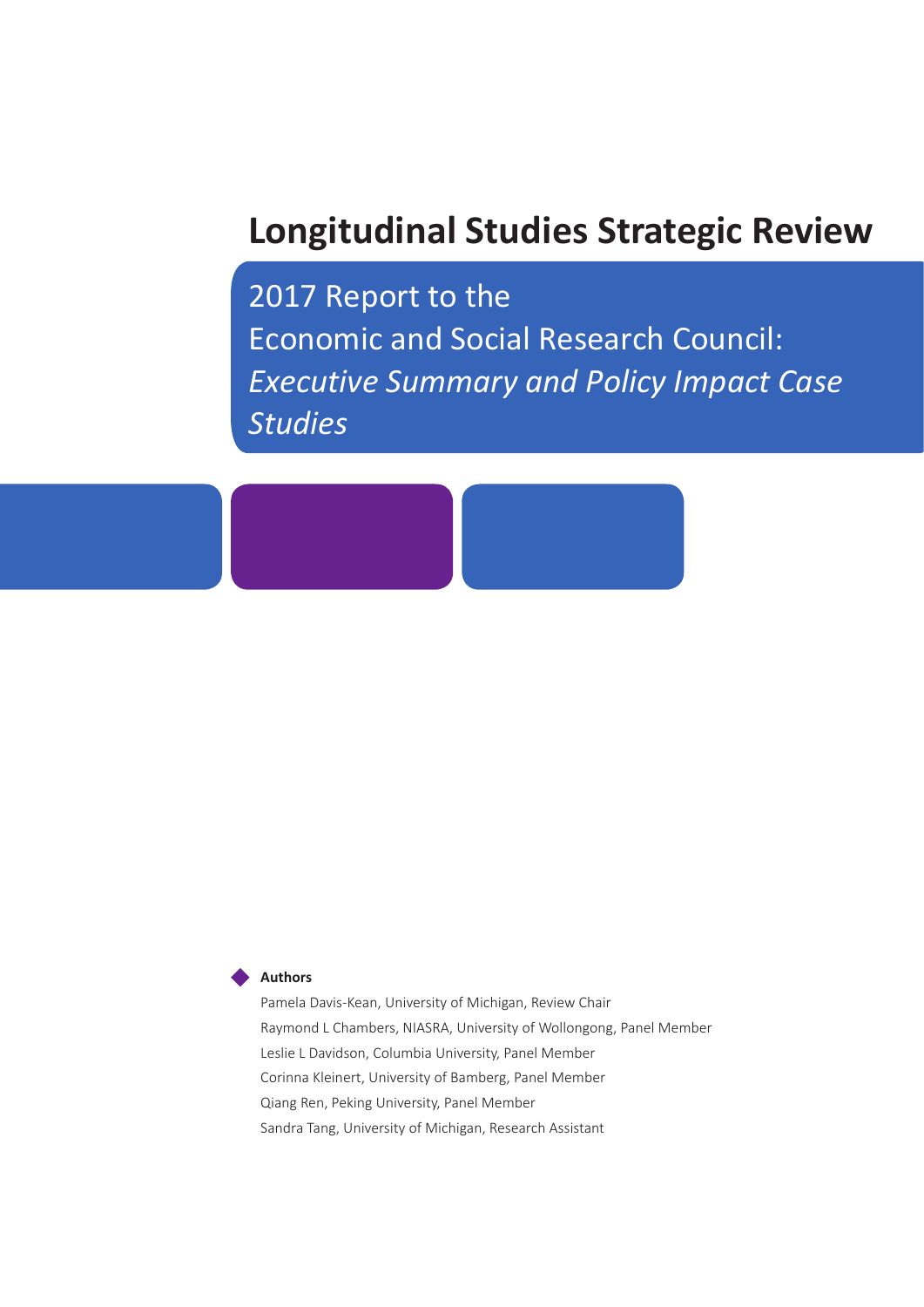# **Longitudinal Studies Strategic Review**

2017 Report to the Economic and Social Research Council: *Executive Summary and Policy Impact Case Studies*



Pamela Davis-Kean, University of Michigan, Review Chair Raymond L Chambers, NIASRA, University of Wollongong, Panel Member Leslie L Davidson, Columbia University, Panel Member Corinna Kleinert, University of Bamberg, Panel Member Qiang Ren, Peking University, Panel Member Sandra Tang, University of Michigan, Research Assistant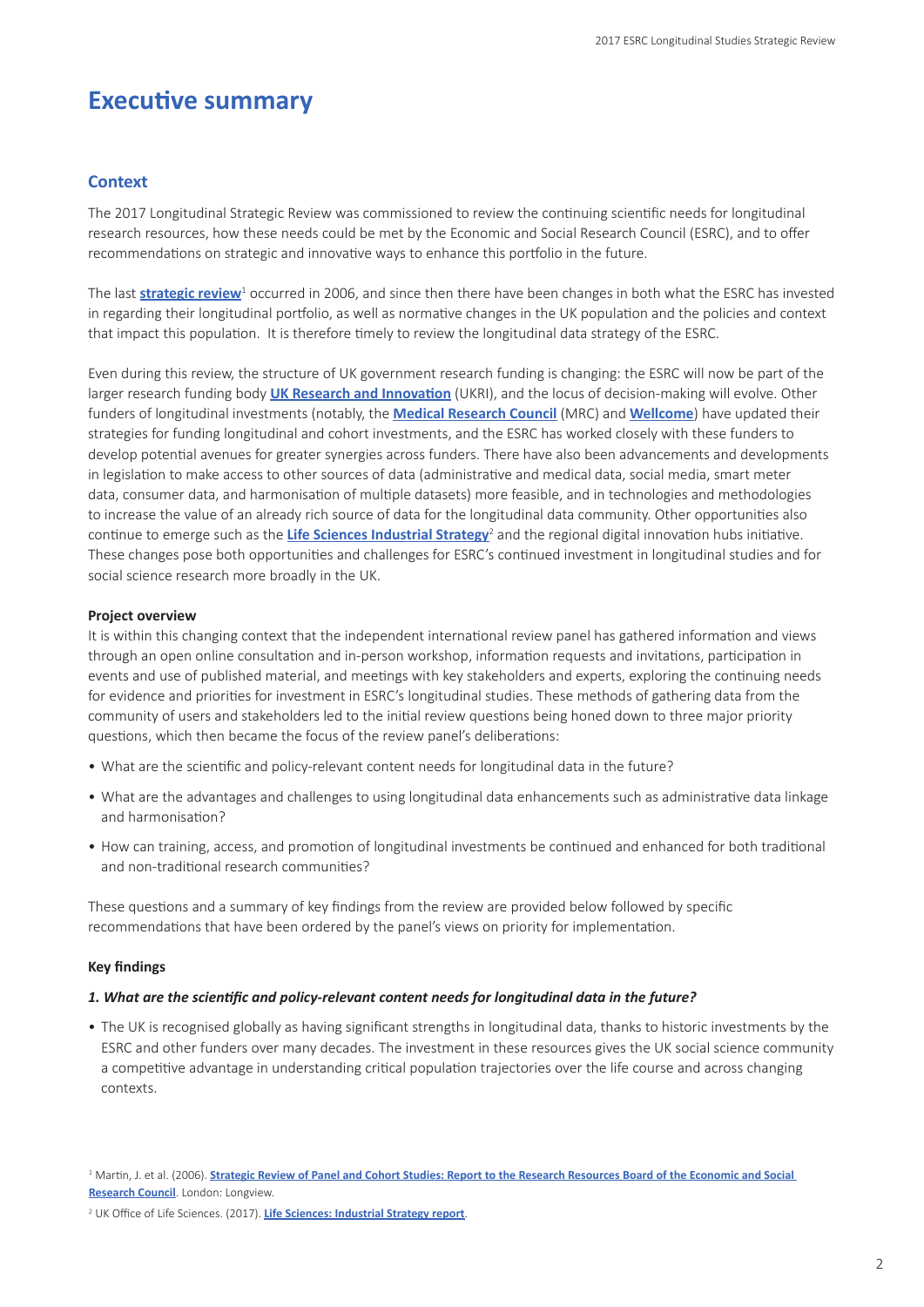# **Executive summary**

#### **Context**

The 2017 Longitudinal Strategic Review was commissioned to review the continuing scientific needs for longitudinal research resources, how these needs could be met by the Economic and Social Research Council (ESRC), and to offer recommendations on strategic and innovative ways to enhance this portfolio in the future.

The last **[strategic review](http://www.esrc.ac.uk/files/news-events-and-publications/publications/strategic-review-of-panel-and-cohort-studies-2006/)**<sup>1</sup> occurred in 2006, and since then there have been changes in both what the ESRC has invested in regarding their longitudinal portfolio, as well as normative changes in the UK population and the policies and context that impact this population. It is therefore timely to review the longitudinal data strategy of the ESRC.

Even during this review, the structure of UK government research funding is changing: the ESRC will now be part of the larger research funding body **[UK Research and Innovation](https://www.ukri.org/)** (UKRI), and the locus of decision-making will evolve. Other funders of longitudinal investments (notably, the **[Medical Research Council](https://www.mrc.ac.uk/)** (MRC) and **[Wellcome](https://wellcome.ac.uk)**) have updated their strategies for funding longitudinal and cohort investments, and the ESRC has worked closely with these funders to develop potential avenues for greater synergies across funders. There have also been advancements and developments in legislation to make access to other sources of data (administrative and medical data, social media, smart meter data, consumer data, and harmonisation of multiple datasets) more feasible, and in technologies and methodologies to increase the value of an already rich source of data for the longitudinal data community. Other opportunities also continue to emerge such as the **[Life Sciences Industrial Strategy](https://www.gov.uk/government/publications/life-sciences-industrial-strategy)**<sup>2</sup> and the regional digital innovation hubs initiative. These changes pose both opportunities and challenges for ESRC's continued investment in longitudinal studies and for social science research more broadly in the UK.

#### **Project overview**

It is within this changing context that the independent international review panel has gathered information and views through an open online consultation and in-person workshop, information requests and invitations, participation in events and use of published material, and meetings with key stakeholders and experts, exploring the continuing needs for evidence and priorities for investment in ESRC's longitudinal studies. These methods of gathering data from the community of users and stakeholders led to the initial review questions being honed down to three major priority questions, which then became the focus of the review panel's deliberations:

- What are the scientific and policy-relevant content needs for longitudinal data in the future?
- What are the advantages and challenges to using longitudinal data enhancements such as administrative data linkage and harmonisation?
- How can training, access, and promotion of longitudinal investments be continued and enhanced for both traditional and non-traditional research communities?

These questions and a summary of key findings from the review are provided below followed by specific recommendations that have been ordered by the panel's views on priority for implementation.

#### **Key findings**

#### *1. What are the scientific and policy-relevant content needs for longitudinal data in the future?*

• The UK is recognised globally as having significant strengths in longitudinal data, thanks to historic investments by the ESRC and other funders over many decades. The investment in these resources gives the UK social science community a competitive advantage in understanding critical population trajectories over the life course and across changing contexts.

<sup>&</sup>lt;sup>1</sup> Martin, J. et al. (2006). **<u>Strategic Review of Panel and Cohort Studies: Report to the Research Resources Board of the Economic and Social</u> [Research Council](http://www.esrc.ac.uk/files/news-events-and-publications/publications/strategic-review-of-panel-and-cohort-studies-2006/)**. London: Longview.

<sup>2</sup> UK Office of Life Sciences. (2017). **[Life Sciences: Industrial Strategy report](https://www.gov.uk/government/publications/life-sciences-industrial-strategy)**.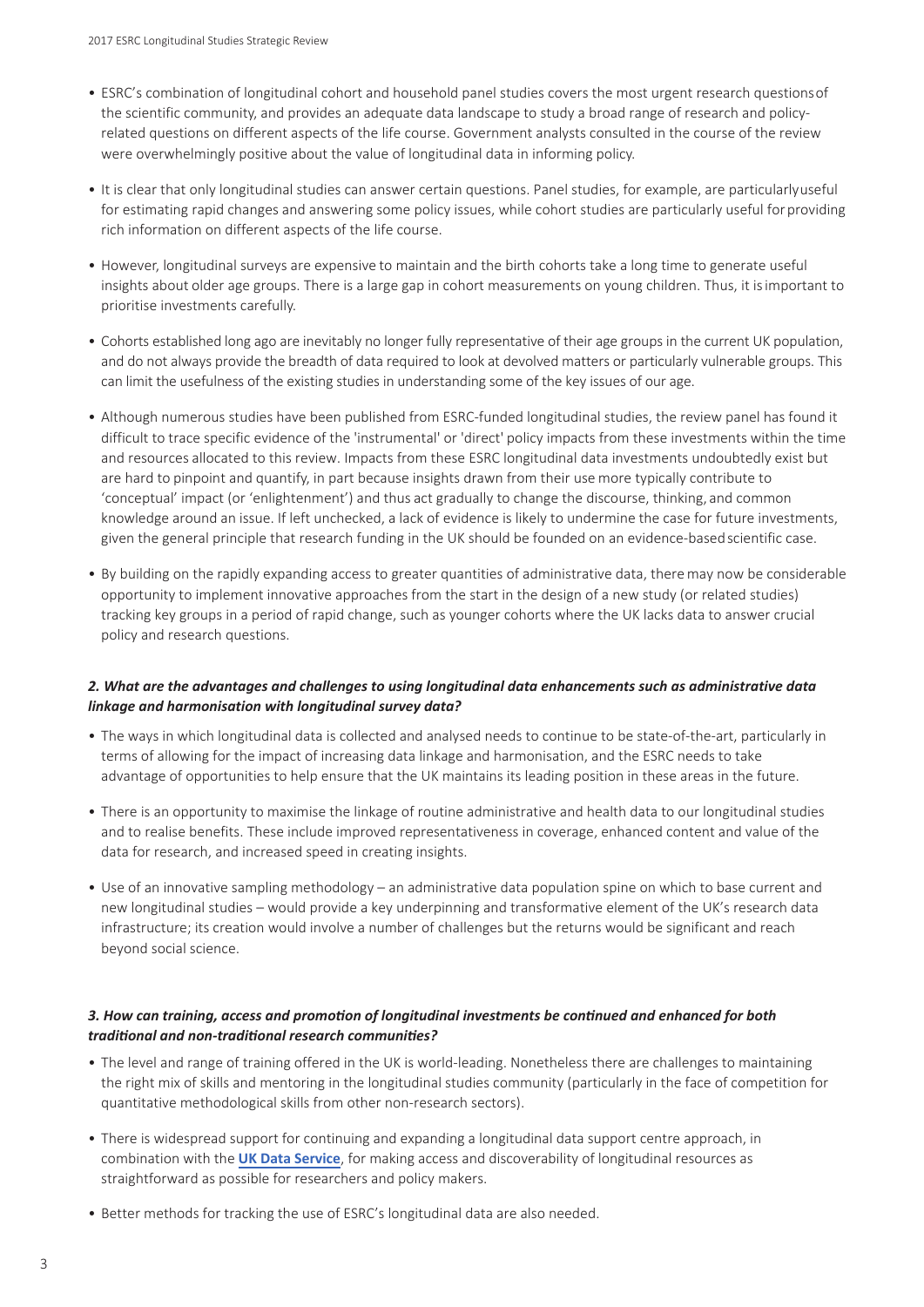- ESRC's combination of longitudinal cohort and household panel studies covers the most urgent research questionsof the scientific community, and provides an adequate data landscape to study a broad range of research and policyrelated questions on different aspects of the life course. Government analysts consulted in the course of the review were overwhelmingly positive about the value of longitudinal data in informing policy.
- It is clear that only longitudinal studies can answer certain questions. Panel studies, for example, are particularlyuseful for estimating rapid changes and answering some policy issues, while cohort studies are particularly useful forproviding rich information on different aspects of the life course.
- However, longitudinal surveys are expensive to maintain and the birth cohorts take a long time to generate useful insights about older age groups. There is a large gap in cohort measurements on young children. Thus, it isimportant to prioritise investments carefully.
- Cohorts established long ago are inevitably no longer fully representative of their age groups in the current UK population, and do not always provide the breadth of data required to look at devolved matters or particularly vulnerable groups. This can limit the usefulness of the existing studies in understanding some of the key issues of our age.
- Although numerous studies have been published from ESRC-funded longitudinal studies, the review panel has found it difficult to trace specific evidence of the 'instrumental' or 'direct' policy impacts from these investments within the time and resources allocated to this review. Impacts from these ESRC longitudinal data investments undoubtedly exist but are hard to pinpoint and quantify, in part because insights drawn from their use more typically contribute to 'conceptual' impact (or 'enlightenment') and thus act gradually to change the discourse, thinking, and common knowledge around an issue. If left unchecked, a lack of evidence is likely to undermine the case for future investments, given the general principle that research funding in the UK should be founded on an evidence-basedscientific case.
- By building on the rapidly expanding access to greater quantities of administrative data, there may now be considerable opportunity to implement innovative approaches from the start in the design of a new study (or related studies) tracking key groups in a period of rapid change, such as younger cohorts where the UK lacks data to answer crucial policy and research questions.

#### *2. What are the advantages and challenges to using longitudinal data enhancements such as administrative data linkage and harmonisation with longitudinal survey data?*

- The ways in which longitudinal data is collected and analysed needs to continue to be state-of-the-art, particularly in terms of allowing for the impact of increasing data linkage and harmonisation, and the ESRC needs to take advantage of opportunities to help ensure that the UK maintains its leading position in these areas in the future.
- There is an opportunity to maximise the linkage of routine administrative and health data to our longitudinal studies and to realise benefits. These include improved representativeness in coverage, enhanced content and value of the data for research, and increased speed in creating insights.
- Use of an innovative sampling methodology an administrative data population spine on which to base current and new longitudinal studies – would provide a key underpinning and transformative element of the UK's research data infrastructure; its creation would involve a number of challenges but the returns would be significant and reach beyond social science.

#### *3. How can training, access and promotion of longitudinal investments be continued and enhanced for both traditional and non-traditional research communities?*

- The level and range of training offered in the UK is world-leading. Nonetheless there are challenges to maintaining the right mix of skills and mentoring in the longitudinal studies community (particularly in the face of competition for quantitative methodological skills from other non-research sectors).
- There is widespread s[upport for contin](https://www.ukdataservice.ac.uk/)uing and expanding a longitudinal data support centre approach, in combination with the **UK Data Service**, for making access and discoverability of longitudinal resources as straightforward as possible for researchers and policy makers.
- Better methods for tracking the use of ESRC's longitudinal data are also needed.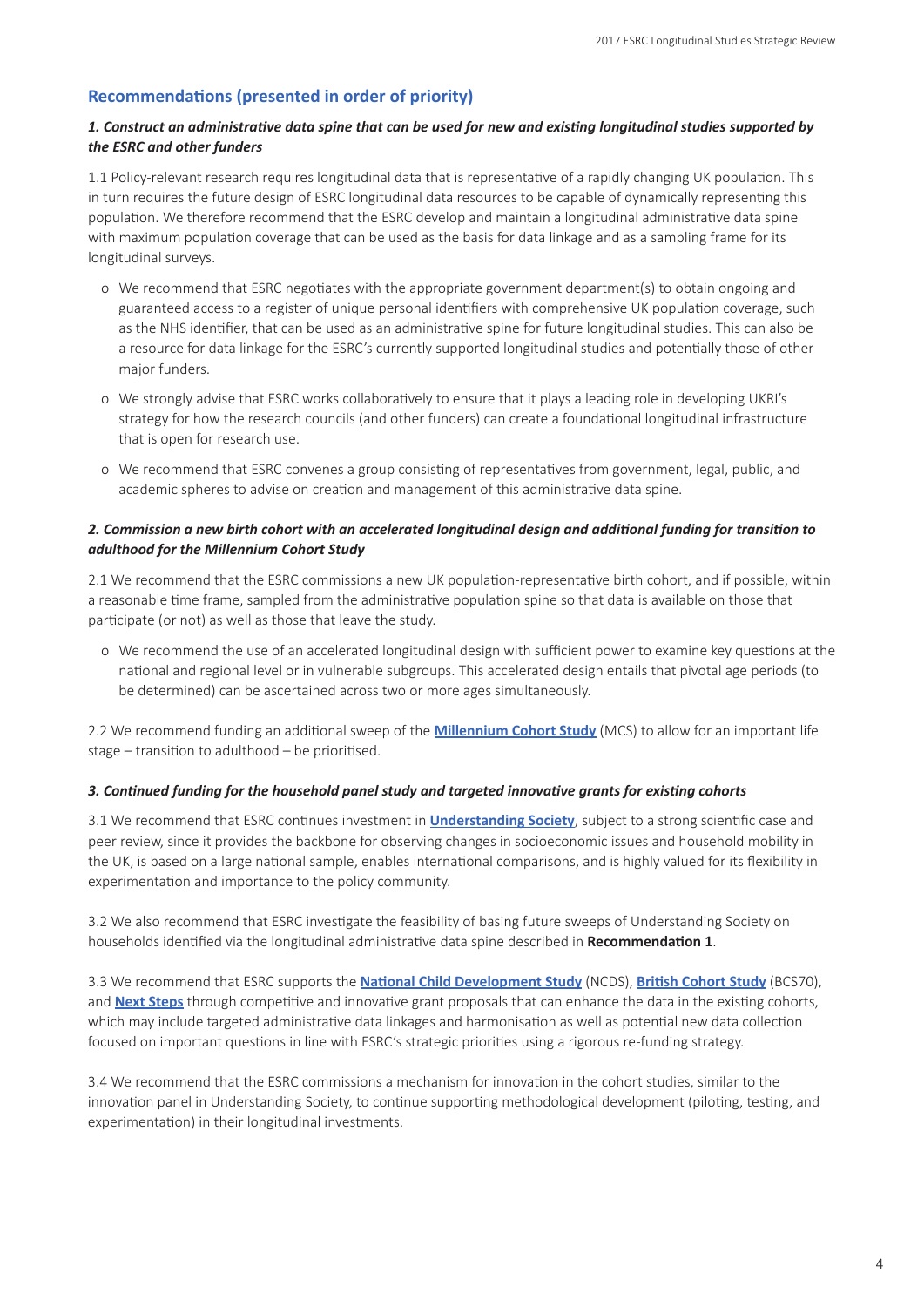### **Recommendations (presented in order of priority)**

#### *1. Construct an administrative data spine that can be used for new and existing longitudinal studies supported by the ESRC and other funders*

1.1 Policy-relevant research requires longitudinal data that is representative of a rapidly changing UK population. This in turn requires the future design of ESRC longitudinal data resources to be capable of dynamically representing this population. We therefore recommend that the ESRC develop and maintain a longitudinal administrative data spine with maximum population coverage that can be used as the basis for data linkage and as a sampling frame for its longitudinal surveys.

- o We recommend that ESRC negotiates with the appropriate government department(s) to obtain ongoing and guaranteed access to a register of unique personal identifiers with comprehensive UK population coverage, such as the NHS identifier, that can be used as an administrative spine for future longitudinal studies. This can also be a resource for data linkage for the ESRC's currently supported longitudinal studies and potentially those of other major funders.
- o We strongly advise that ESRC works collaboratively to ensure that it plays a leading role in developing UKRI's strategy for how the research councils (and other funders) can create a foundational longitudinal infrastructure that is open for research use.
- o We recommend that ESRC convenes a group consisting of representatives from government, legal, public, and academic spheres to advise on creation and management of this administrative data spine.

#### *2. Commission a new birth cohort with an accelerated longitudinal design and additional funding for transition to adulthood for the Millennium Cohort Study*

2.1 We recommend that the ESRC commissions a new UK population-representative birth cohort, and if possible, within a reasonable time frame, sampled from the administrative population spine so that data is available on those that participate (or not) as well as those that leave the study.

o We recommend the use of an accelerated longitudinal design with sufficient power to examine key questions at the national and regional level or in vulnerable subgroups. This accelerated design entails that pivotal age periods (to be determined) can be ascertained across two or more ages simultaneously.

2.2 We recommend funding an additional sweep of the **[Millennium Cohort Study](http://www.cls.ioe.ac.uk/page.aspx?&sitesectionid=851&sitesectiontitle=Welcome+to+the+Millennium+Cohort+Study)** (MCS) to allow for an important life stage – transition to adulthood – be prioritised.

#### *3. Continued funding for the household panel study and targeted innovative grants for existing cohorts*

3.1 We recommend that ESRC continues investment in **[Understanding Society](https://www.understandingsociety.ac.uk/)**, subject to a strong scientific case and peer review, since it provides the backbone for observing changes in socioeconomic issues and household mobility in the UK, is based on a large national sample, enables international comparisons, and is highly valued for its flexibility in experimentation and importance to the policy community.

3.2 We also recommend that ESRC investigate the feasibility of basing future sweeps of Understanding Society on households identified via the longitudinal administrative data spine described in **Recommendation 1**.

3.3 We recommend that ESRC supports the **[National Child Development Study](http://www.cls.ioe.ac.uk/page.aspx?&sitesectionid=724&sitesectiontitle=Welcome+to+the+1958+National+Child+Development+Study)** (NCDS), **[British Cohort Study](http://www.cls.ioe.ac.uk/page.aspx?&sitesectionid=795&sitesectiontitle=Welcome+to+the+1970+British+Cohort+Study)** (BCS70), and **[Next Steps](http://www.cls.ioe.ac.uk/page.aspx?&sitesectionid=1246&sitesectiontitle=Welcome+to+Next+Steps+(LSYPE))** through competitive and innovative grant proposals that can enhance the data in the existing cohorts, which may include targeted administrative data linkages and harmonisation as well as potential new data collection focused on important questions in line with ESRC's strategic priorities using a rigorous re-funding strategy.

3.4 We recommend that the ESRC commissions a mechanism for innovation in the cohort studies, similar to the innovation panel in Understanding Society, to continue supporting methodological development (piloting, testing, and experimentation) in their longitudinal investments.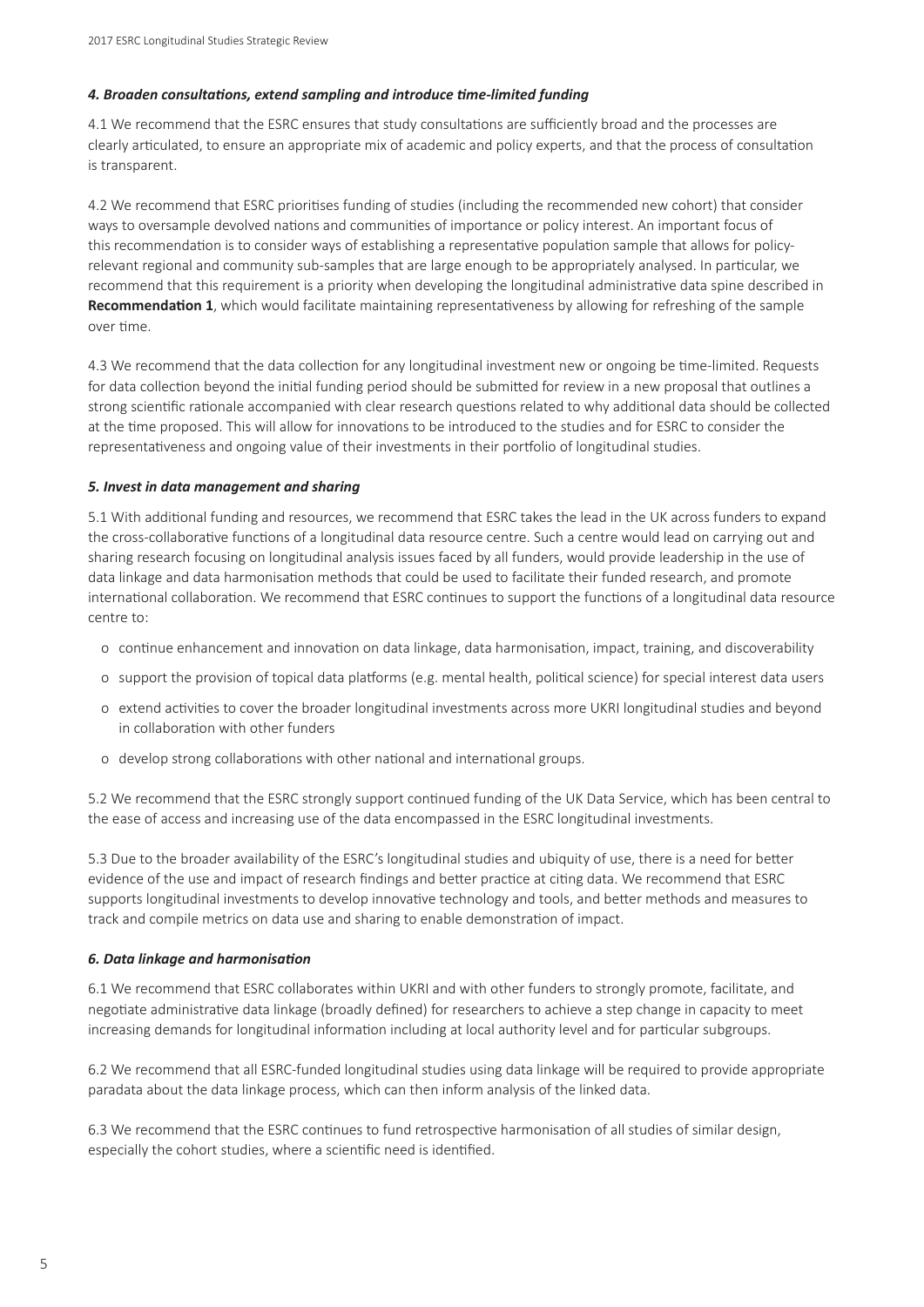#### *4. Broaden consultations, extend sampling and introduce time-limited funding*

4.1 We recommend that the ESRC ensures that study consultations are sufficiently broad and the processes are clearly articulated, to ensure an appropriate mix of academic and policy experts, and that the process of consultation is transparent.

4.2 We recommend that ESRC prioritises funding of studies (including the recommended new cohort) that consider ways to oversample devolved nations and communities of importance or policy interest. An important focus of this recommendation is to consider ways of establishing a representative population sample that allows for policyrelevant regional and community sub-samples that are large enough to be appropriately analysed. In particular, we recommend that this requirement is a priority when developing the longitudinal administrative data spine described in **Recommendation 1**, which would facilitate maintaining representativeness by allowing for refreshing of the sample over time.

4.3 We recommend that the data collection for any longitudinal investment new or ongoing be time-limited. Requests for data collection beyond the initial funding period should be submitted for review in a new proposal that outlines a strong scientific rationale accompanied with clear research questions related to why additional data should be collected at the time proposed. This will allow for innovations to be introduced to the studies and for ESRC to consider the representativeness and ongoing value of their investments in their portfolio of longitudinal studies.

#### *5. Invest in data management and sharing*

5.1 With additional funding and resources, we recommend that ESRC takes the lead in the UK across funders to expand the cross-collaborative functions of a longitudinal data resource centre. Such a centre would lead on carrying out and sharing research focusing on longitudinal analysis issues faced by all funders, would provide leadership in the use of data linkage and data harmonisation methods that could be used to facilitate their funded research, and promote international collaboration. We recommend that ESRC continues to support the functions of a longitudinal data resource centre to:

- o continue enhancement and innovation on data linkage, data harmonisation, impact, training, and discoverability
- o support the provision of topical data platforms (e.g. mental health, political science) for special interest data users
- o extend activities to cover the broader longitudinal investments across more UKRI longitudinal studies and beyond in collaboration with other funders
- o develop strong collaborations with other national and international groups.

5.2 We recommend that the ESRC strongly support continued funding of the UK Data Service, which has been central to the ease of access and increasing use of the data encompassed in the ESRC longitudinal investments.

5.3 Due to the broader availability of the ESRC's longitudinal studies and ubiquity of use, there is a need for better evidence of the use and impact of research findings and better practice at citing data. We recommend that ESRC supports longitudinal investments to develop innovative technology and tools, and better methods and measures to track and compile metrics on data use and sharing to enable demonstration of impact.

#### *6. Data linkage and harmonisation*

6.1 We recommend that ESRC collaborates within UKRI and with other funders to strongly promote, facilitate, and negotiate administrative data linkage (broadly defined) for researchers to achieve a step change in capacity to meet increasing demands for longitudinal information including at local authority level and for particular subgroups.

6.2 We recommend that all ESRC-funded longitudinal studies using data linkage will be required to provide appropriate paradata about the data linkage process, which can then inform analysis of the linked data.

6.3 We recommend that the ESRC continues to fund retrospective harmonisation of all studies of similar design, especially the cohort studies, where a scientific need is identified.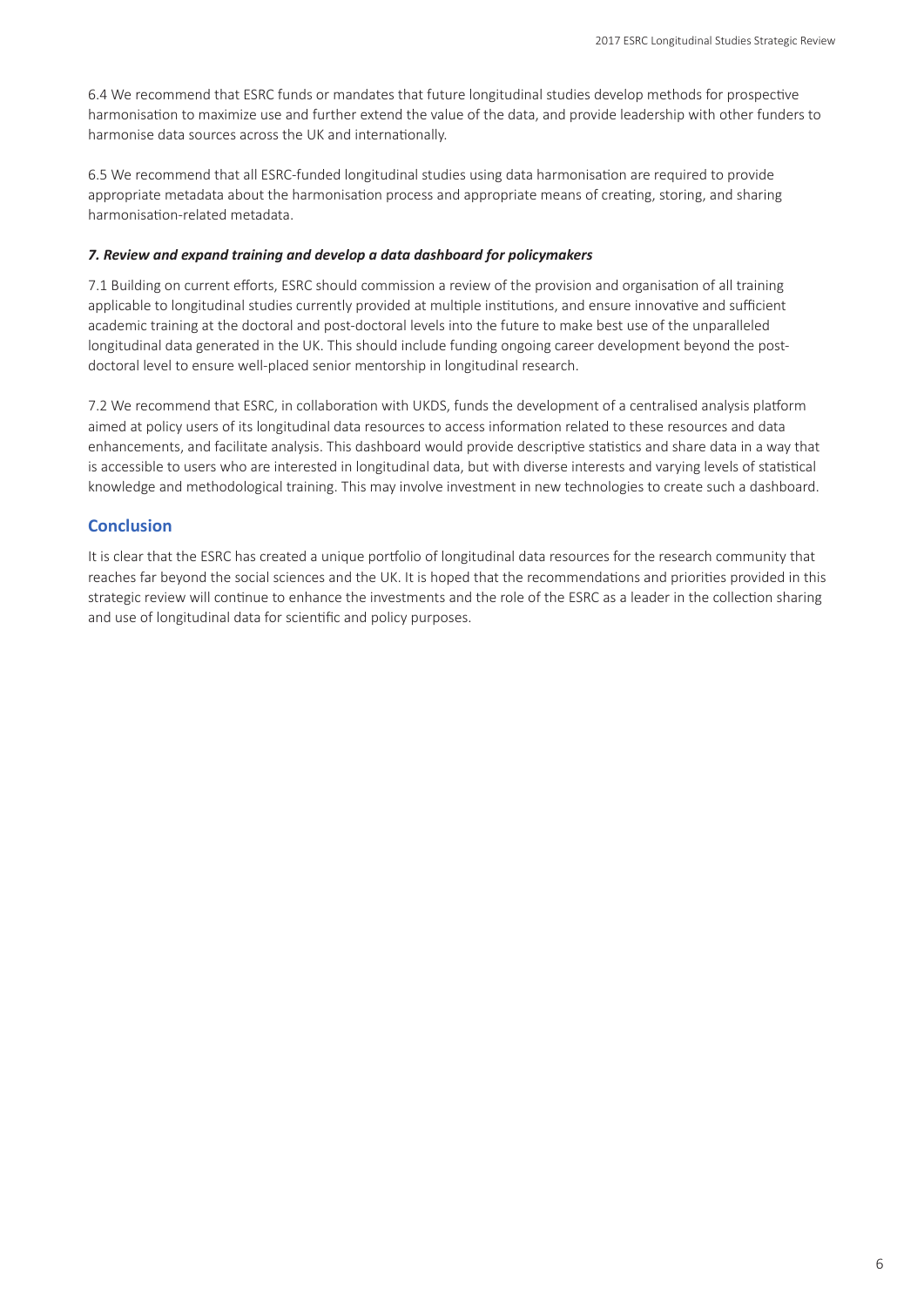6.4 We recommend that ESRC funds or mandates that future longitudinal studies develop methods for prospective harmonisation to maximize use and further extend the value of the data, and provide leadership with other funders to harmonise data sources across the UK and internationally.

6.5 We recommend that all ESRC-funded longitudinal studies using data harmonisation are required to provide appropriate metadata about the harmonisation process and appropriate means of creating, storing, and sharing harmonisation-related metadata.

#### *7. Review and expand training and develop a data dashboard for policymakers*

7.1 Building on current efforts, ESRC should commission a review of the provision and organisation of all training applicable to longitudinal studies currently provided at multiple institutions, and ensure innovative and sufficient academic training at the doctoral and post-doctoral levels into the future to make best use of the unparalleled longitudinal data generated in the UK. This should include funding ongoing career development beyond the postdoctoral level to ensure well-placed senior mentorship in longitudinal research.

7.2 We recommend that ESRC, in collaboration with UKDS, funds the development of a centralised analysis platform aimed at policy users of its longitudinal data resources to access information related to these resources and data enhancements, and facilitate analysis. This dashboard would provide descriptive statistics and share data in a way that is accessible to users who are interested in longitudinal data, but with diverse interests and varying levels of statistical knowledge and methodological training. This may involve investment in new technologies to create such a dashboard.

### **Conclusion**

It is clear that the ESRC has created a unique portfolio of longitudinal data resources for the research community that reaches far beyond the social sciences and the UK. It is hoped that the recommendations and priorities provided in this strategic review will continue to enhance the investments and the role of the ESRC as a leader in the collection sharing and use of longitudinal data for scientific and policy purposes.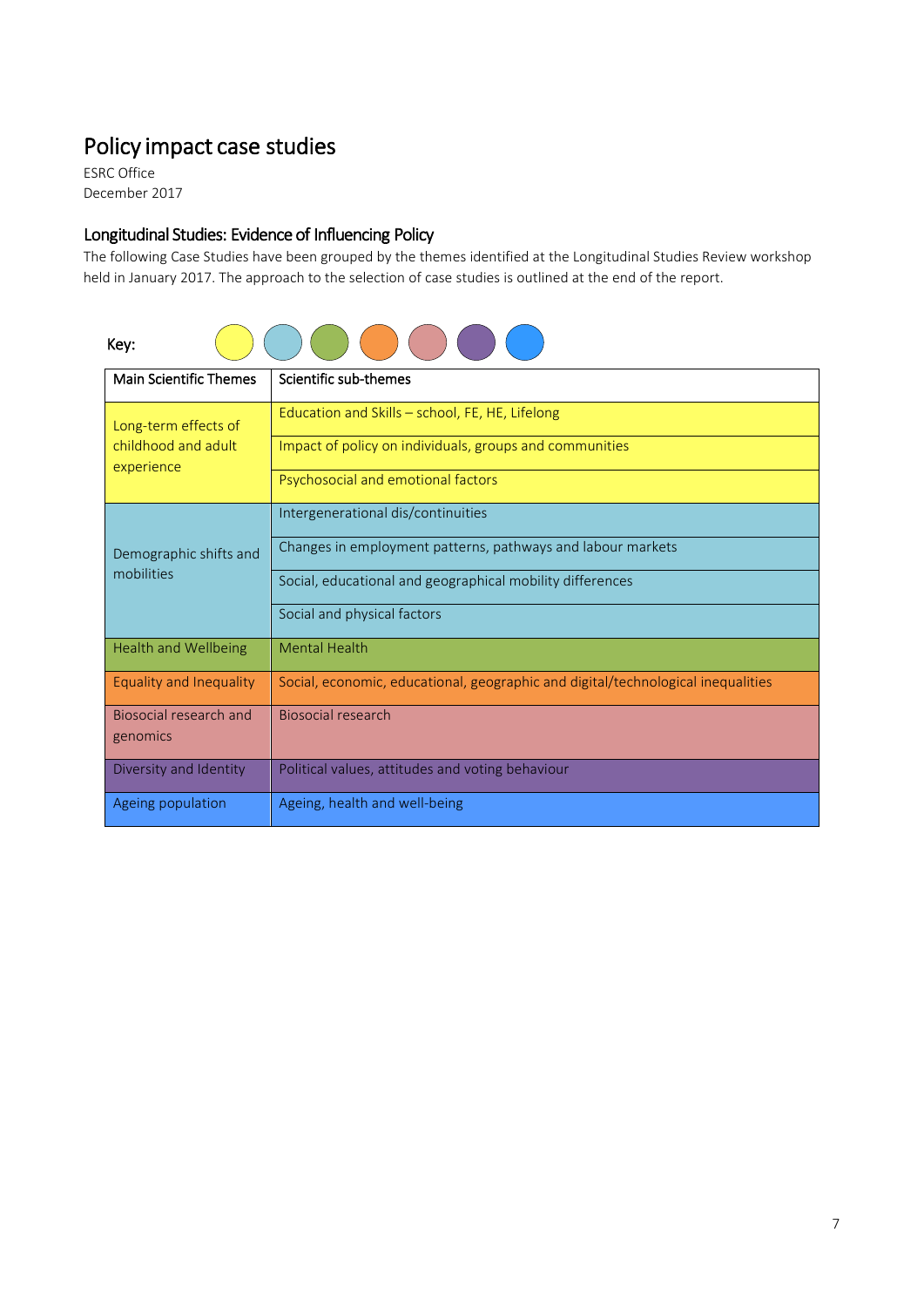# Policy impact case studies

ESRC Office December 2017

# Longitudinal Studies: Evidence of Influencing Policy

The following Case Studies have been grouped by the themes identified at the Longitudinal Studies Review workshop held in January 2017. The approach to the selection of case studies is outlined at the end of the report.

| Kev: |  |  |  |  |
|------|--|--|--|--|

| <b>Main Scientific Themes</b>                             | Scientific sub-themes                                                            |  |  |  |  |
|-----------------------------------------------------------|----------------------------------------------------------------------------------|--|--|--|--|
| Long-term effects of<br>childhood and adult<br>experience | Education and Skills - school, FE, HE, Lifelong                                  |  |  |  |  |
|                                                           | Impact of policy on individuals, groups and communities                          |  |  |  |  |
|                                                           | Psychosocial and emotional factors                                               |  |  |  |  |
| Demographic shifts and<br>mobilities                      | Intergenerational dis/continuities                                               |  |  |  |  |
|                                                           | Changes in employment patterns, pathways and labour markets                      |  |  |  |  |
|                                                           | Social, educational and geographical mobility differences                        |  |  |  |  |
|                                                           | Social and physical factors                                                      |  |  |  |  |
| <b>Health and Wellbeing</b>                               | <b>Mental Health</b>                                                             |  |  |  |  |
| Equality and Inequality                                   | Social, economic, educational, geographic and digital/technological inequalities |  |  |  |  |
| Biosocial research and<br>genomics                        | Biosocial research                                                               |  |  |  |  |
|                                                           |                                                                                  |  |  |  |  |
| Diversity and Identity                                    | Political values, attitudes and voting behaviour                                 |  |  |  |  |
| Ageing population                                         | Ageing, health and well-being                                                    |  |  |  |  |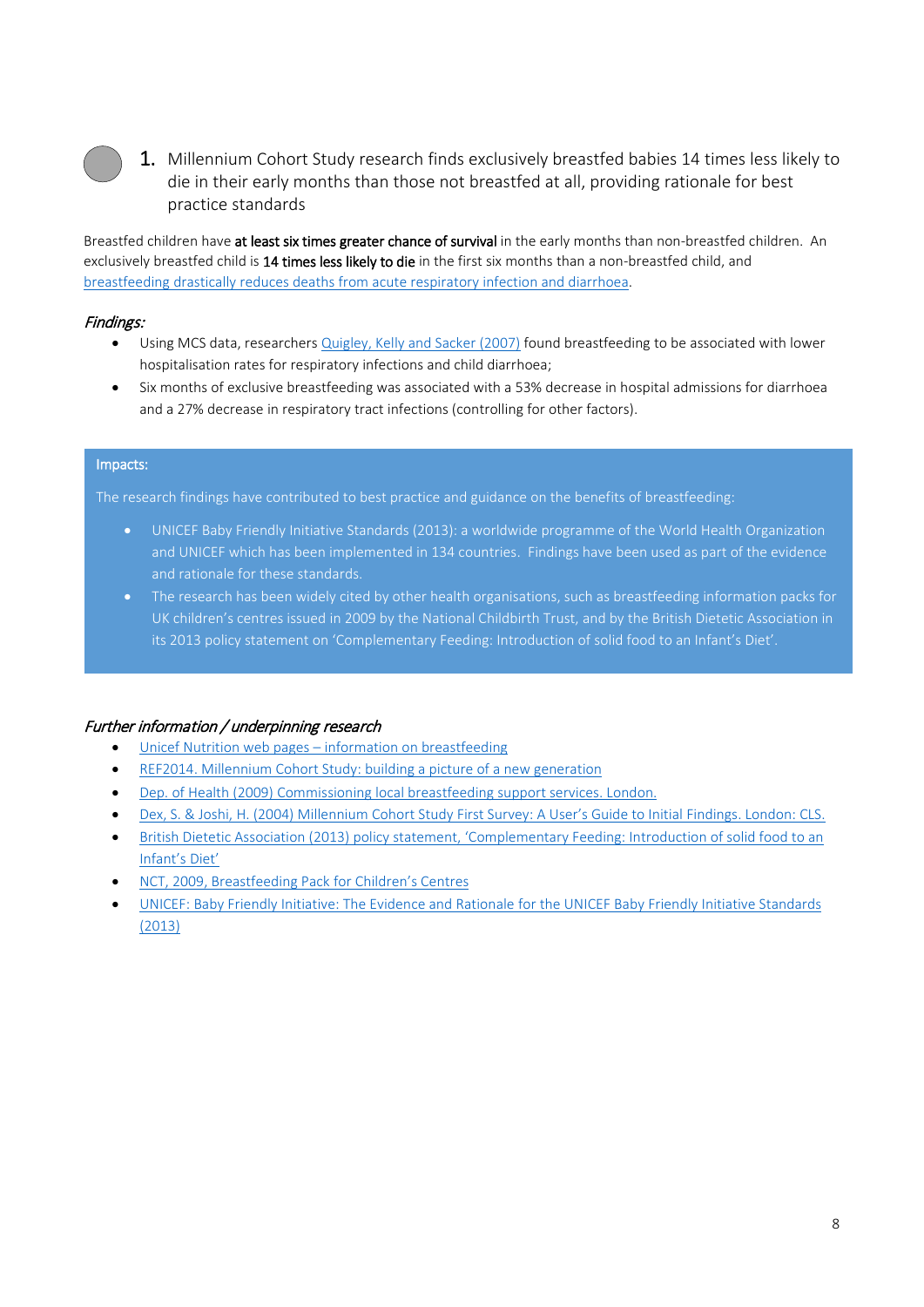

1. Millennium Cohort Study research finds exclusively breastfed babies 14 times less likely to die in their early months than those not breastfed at all, providing rationale for best practice standards

Breastfed children have at least six times greater chance of survival in the early months than non-breastfed children. An exclusively breastfed child is 14 times less likely to die in the first six months than a non-breastfed child, and [breastfeeding drastically reduces deaths from acute respiratory infection and diarrhoea.](https://www.unicef.org/nutrition/index_24824.html)

### Findings:

- Using MCS data, researchers [Quigley, Kelly and Sacker \(2007\)](https://www.ndph.ox.ac.uk/publications/484094) found breastfeeding to be associated with lower hospitalisation rates for respiratory infections and child diarrhoea;
- Six months of exclusive breastfeeding was associated with a 53% decrease in hospital admissions for diarrhoea and a 27% decrease in respiratory tract infections (controlling for other factors).

#### Impacts:

The research findings have contributed to best practice and guidance on the benefits of breastfeeding:

- UNICEF Baby Friendly Initiative Standards (2013): a worldwide programme of the World Health Organization and UNICEF which has been implemented in 134 countries. Findings have been used as part of the evidence and rationale for these standards.
- The research has been widely cited by other health organisations, such as breastfeeding information packs for UK children's centres issued in 2009 by the National Childbirth Trust, and by the British Dietetic Association in its 2013 policy statement on 'Complementary Feeding: Introduction of solid food to an Infant's Diet'.

# Further information / underpinning research

- Unicef Nutrition web pages [information on breastfeeding](https://www.unicef.org/nutrition/index_24824.html)
- [REF2014. Millennium Cohort Study: building a picture of a new generation](http://impact.ref.ac.uk/casestudies2/refservice.svc/GetCaseStudyPDF/44326)
- [Dep. of Health \(2009\) Commissioning local breastfeeding support services. London.](http://webarchive.nationalarchives.gov.uk/20130107105354/http:/www.dh.gov.uk/en/Publicationsandstatistics/Publications/PublicationsPolicyAndGuidance/DH_106501)
- [Dex, S. & Joshi, H. \(2004\) Millennium Cohort Study First Survey: A User's Guide to Initial Findings. London: CLS.](http://citeseerx.ist.psu.edu/viewdoc/download?doi=10.1.1.462.2005&rep=rep1&type=pdf)
- [British Dietetic Association \(2013\) policy statement, 'Complementary Feeding: Introduction of solid food to an](https://nhsforthvalley.com/health-services/health-promotion/nutrition/early-years-nutrition/resources-for-health-professionals/)  [Infant's Diet'](https://nhsforthvalley.com/health-services/health-promotion/nutrition/early-years-nutrition/resources-for-health-professionals/)
- [NCT, 2009, Breastfeeding Pack for Children's Centres](https://www.nct.org.uk/sites/default/files/related_documents/Breastfeeding%20pack%20for%20Children%27s%20Centres-1.pdf)
- [UNICEF: Baby Friendly Initiative: The Evidence and Rationale for the UNICEF Baby Friendly Initiative Standards](https://www.unicef.org.uk/babyfriendl/wp-content/uploads/sites/2/2013/09/baby_friendly_evidence_rationale.pdf)  [\(2013\)](https://www.unicef.org.uk/babyfriendl/wp-content/uploads/sites/2/2013/09/baby_friendly_evidence_rationale.pdf)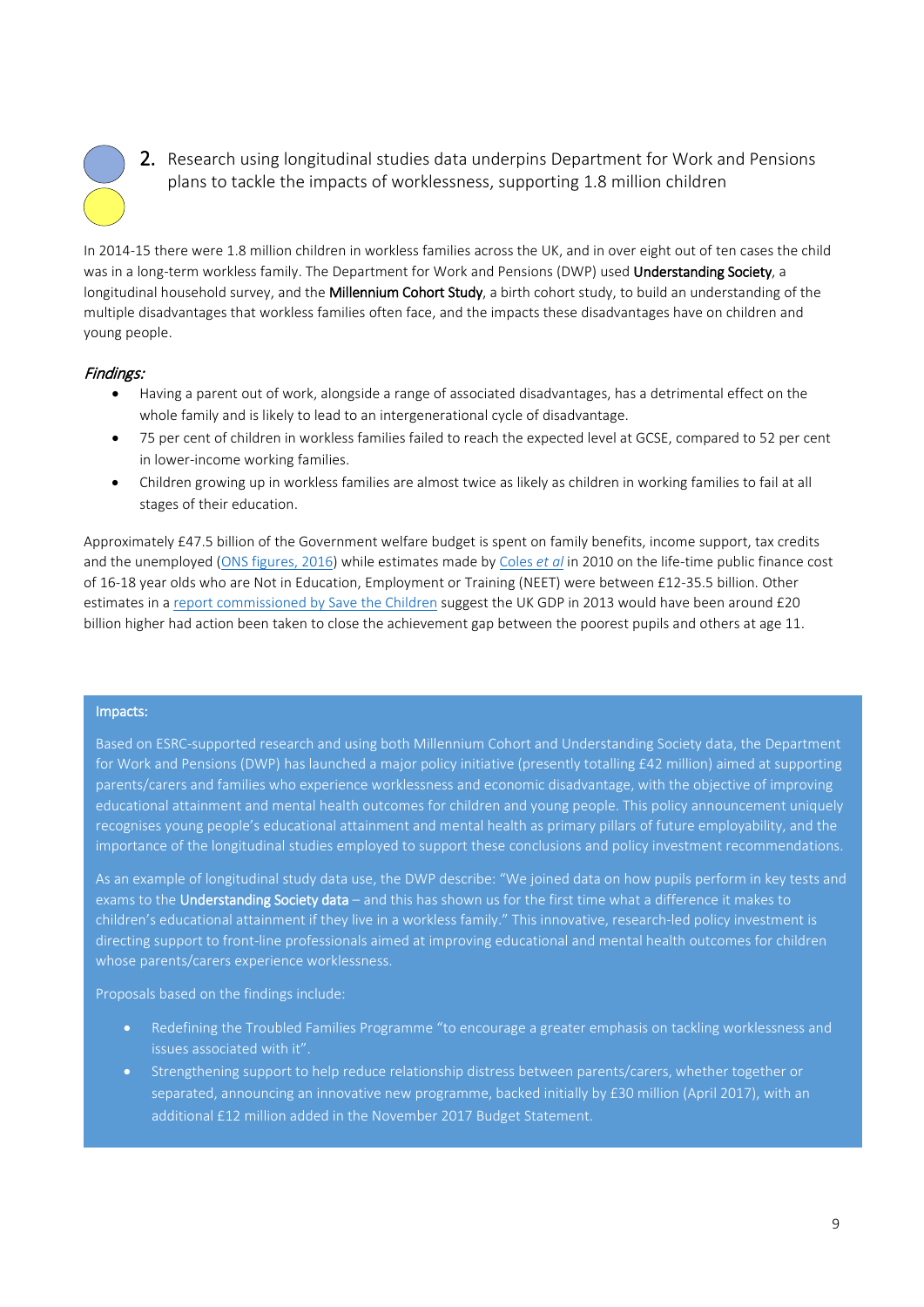

2. Research using longitudinal studies data underpins Department for Work and Pensions plans to tackle the impacts of worklessness, supporting 1.8 million children

In 2014-15 there were 1.8 million children in workless families across the UK, and in over eight out of ten cases the child was in a long-term workless family. The Department for Work and Pensions (DWP) used Understanding Society, a longitudinal household survey, and the Millennium Cohort Study, a birth cohort study, to build an understanding of the multiple disadvantages that workless families often face, and the impacts these disadvantages have on children and young people.

# Findings:

- Having a parent out of work, alongside a range of associated disadvantages, has a detrimental effect on the whole family and is likely to lead to an intergenerational cycle of disadvantage.
- 75 per cent of children in workless families failed to reach the expected level at GCSE, compared to 52 per cent in lower-income working families.
- Children growing up in workless families are almost twice as likely as children in working families to fail at all stages of their education.

Approximately £47.5 billion of the Government welfare budget is spent on family benefits, income support, tax credits and the unemployed [\(ONS figures, 2016\)](https://visual.ons.gov.uk/welfare-spending/) while estimates made by [Coles](https://www.york.ac.uk/inst/spru/research/pdf/NEET_Summary.pdf) *et al* in 2010 on the life-time public finance cost of 16-18 year olds who are Not in Education, Employment or Training (NEET) were between £12-35.5 billion. Other estimates in a [report commissioned by Save the Children](https://www.nga.org.uk/Guidance/Research/Too-Young-to-Fail.aspx) suggest the UK GDP in 2013 would have been around £20 billion higher had action been taken to close the achievement gap between the poorest pupils and others at age 11.

#### Impacts:

Based on ESRC-supported research and using both Millennium Cohort and Understanding Society data, the Department for Work and Pensions (DWP) has launched a major policy initiative (presently totalling £42 million) aimed at supporting parents/carers and families who experience worklessness and economic disadvantage, with the objective of improving educational attainment and mental health outcomes for children and young people. This policy announcement uniquely recognises young people's educational attainment and mental health as primary pillars of future employability, and the importance of the longitudinal studies employed to support these conclusions and policy investment recommendations.

As an example of longitudinal study data use, the DWP describe: "We joined data on how pupils perform in key tests and exams to the Understanding Society data – and this has shown us for the first time what a difference it makes to children's educational attainment if they live in a workless family." This innovative, research-led policy investment is directing support to front-line professionals aimed at improving educational and mental health outcomes for children whose parents/carers experience worklessness.

Proposals based on the findings include:

- Redefining the Troubled Families Programme "to encourage a greater emphasis on tackling worklessness and issues associated with it".
- Strengthening support to help reduce relationship distress between parents/carers, whether together or separated, announcing an innovative new programme, backed initially by £30 million (April 2017), with an additional £12 million added in the November 2017 Budget Statement.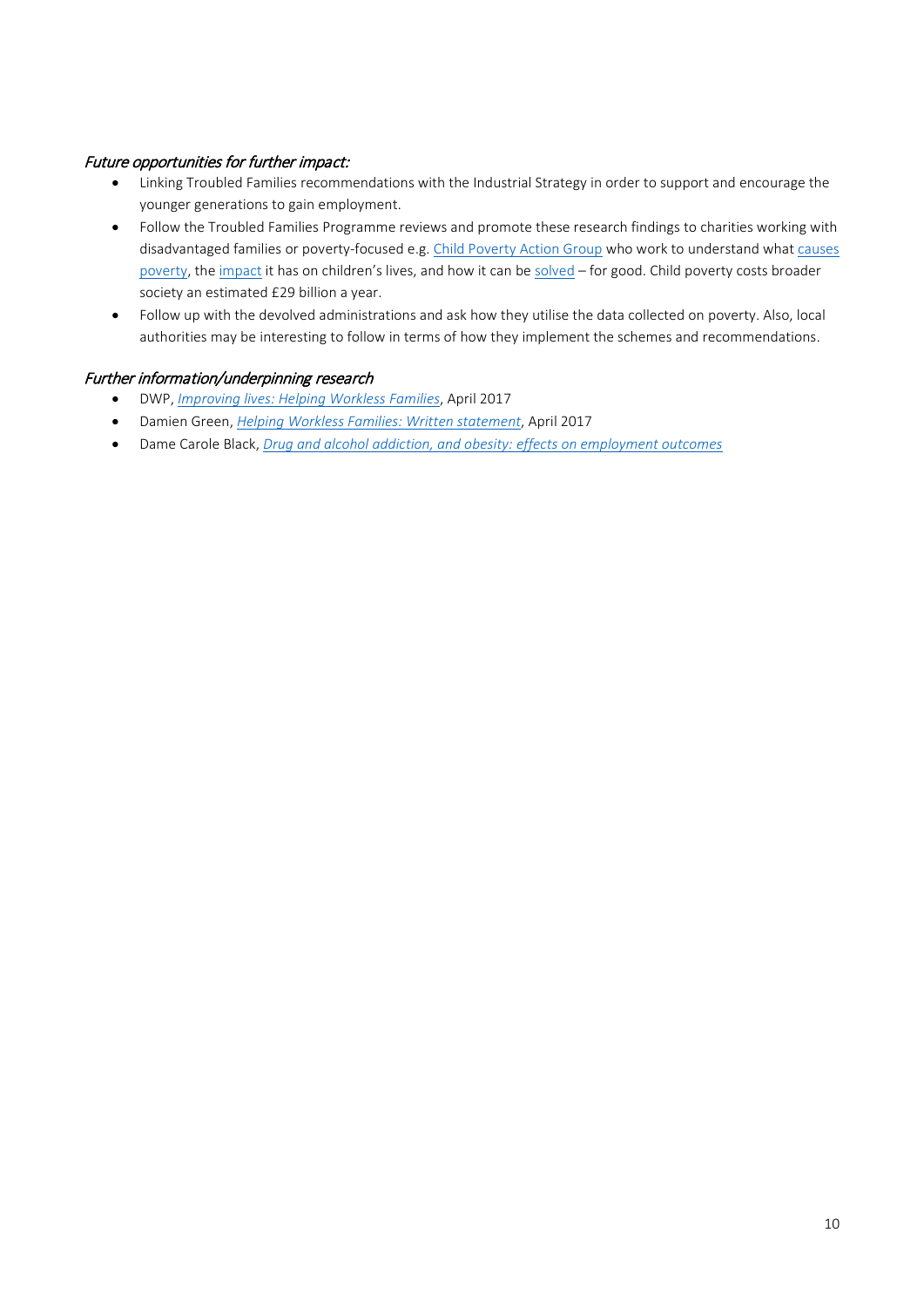### Future opportunities for further impact:

- Linking Troubled Families recommendations with the Industrial Strategy in order to support and encourage the younger generations to gain employment.
- Follow the Troubled Families Programme reviews and promote these research findings to charities working with disadvantaged families or poverty-focused e.g[. Child Poverty Action Group](http://www.cpag.org.uk/) who work to understand what [causes](http://cpag.org.uk/content/what-causes-poverty)  [poverty,](http://cpag.org.uk/content/what-causes-poverty) the [impact](http://cpag.org.uk/content/impact-poverty) it has on children's lives, and how it can b[e solved](http://cpag.org.uk/content/how-can-we-end-child-poverty-uk) – for good. Child poverty costs broader society an estimated £29 billion a year.
- Follow up with the devolved administrations and ask how they utilise the data collected on poverty. Also, local authorities may be interesting to follow in terms of how they implement the schemes and recommendations.

### Further information/underpinning research

- DWP, *[Improving lives: Helping Workless Families](https://www.gov.uk/government/uploads/system/uploads/attachment_data/file/621365/improving-lives-helping-workless-families-print-version.pdf)*, April 2017
- Damien Green, *[Helping Workless Families: Written statement](http://www.parliament.uk/business/publications/written-questions-answers-statements/written-statement/Commons/2017-04-18/HCWS589/)*, April 2017
- Dame Carole Black, *[Drug and alcohol addiction, and obesity: effects on employment outcomes](https://www.gov.uk/government/publications/drug-and-alcohol-addiction-and-obesity-effects-on-employment-outcomes)*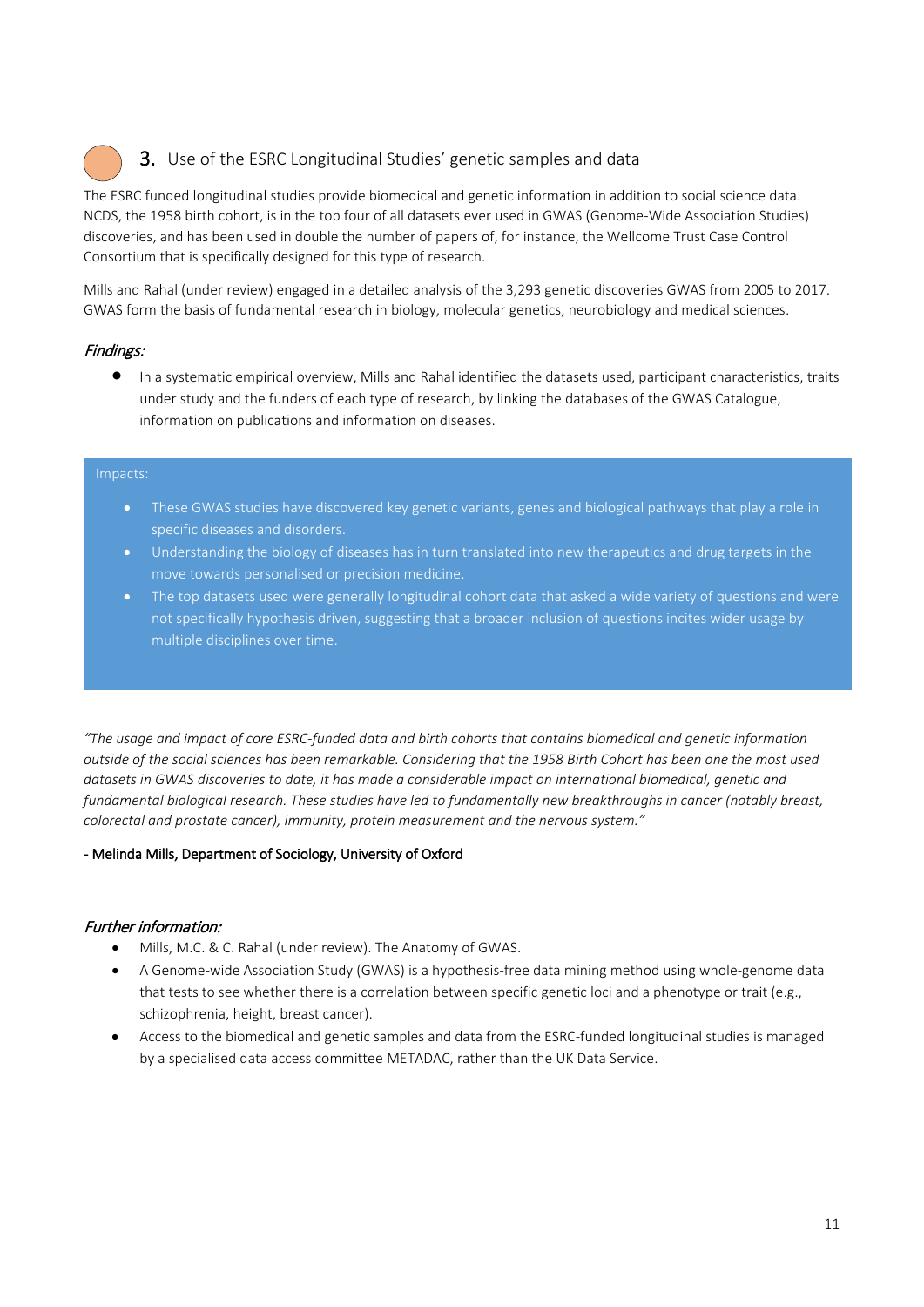# 3. Use of the ESRC Longitudinal Studies' genetic samples and data

The ESRC funded longitudinal studies provide biomedical and genetic information in addition to social science data. NCDS, the 1958 birth cohort, is in the top four of all datasets ever used in GWAS (Genome-Wide Association Studies) discoveries, and has been used in double the number of papers of, for instance, the Wellcome Trust Case Control Consortium that is specifically designed for this type of research.

Mills and Rahal (under review) engaged in a detailed analysis of the 3,293 genetic discoveries GWAS from 2005 to 2017. GWAS form the basis of fundamental research in biology, molecular genetics, neurobiology and medical sciences.

# Findings:

• In a systematic empirical overview, Mills and Rahal identified the datasets used, participant characteristics, traits under study and the funders of each type of research, by linking the databases of the GWAS Catalogue, information on publications and information on diseases.

#### Impacts:

- These GWAS studies have discovered key genetic variants, genes and biological pathways that play a role in specific diseases and disorders.
- Understanding the biology of diseases has in turn translated into new therapeutics and drug targets in the move towards personalised or precision medicine.
- The top datasets used were generally longitudinal cohort data that asked a wide variety of questions and were not specifically hypothesis driven, suggesting that a broader inclusion of questions incites wider usage by multiple disciplines over time.

*"The usage and impact of core ESRC-funded data and birth cohorts that contains biomedical and genetic information outside of the social sciences has been remarkable. Considering that the 1958 Birth Cohort has been one the most used datasets in GWAS discoveries to date, it has made a considerable impact on international biomedical, genetic and fundamental biological research. These studies have led to fundamentally new breakthroughs in cancer (notably breast, colorectal and prostate cancer), immunity, protein measurement and the nervous system."*

#### - Melinda Mills, Department of Sociology, University of Oxford

#### Further information:

- Mills, M.C. & C. Rahal (under review). The Anatomy of GWAS.
- A Genome-wide Association Study (GWAS) is a hypothesis-free data mining method using whole-genome data that tests to see whether there is a correlation between specific genetic loci and a phenotype or trait (e.g., schizophrenia, height, breast cancer).
- Access to the biomedical and genetic samples and data from the ESRC-funded longitudinal studies is managed by a specialised data access committee [METADAC,](https://www.metadac.ac.uk/) rather than the UK Data Service.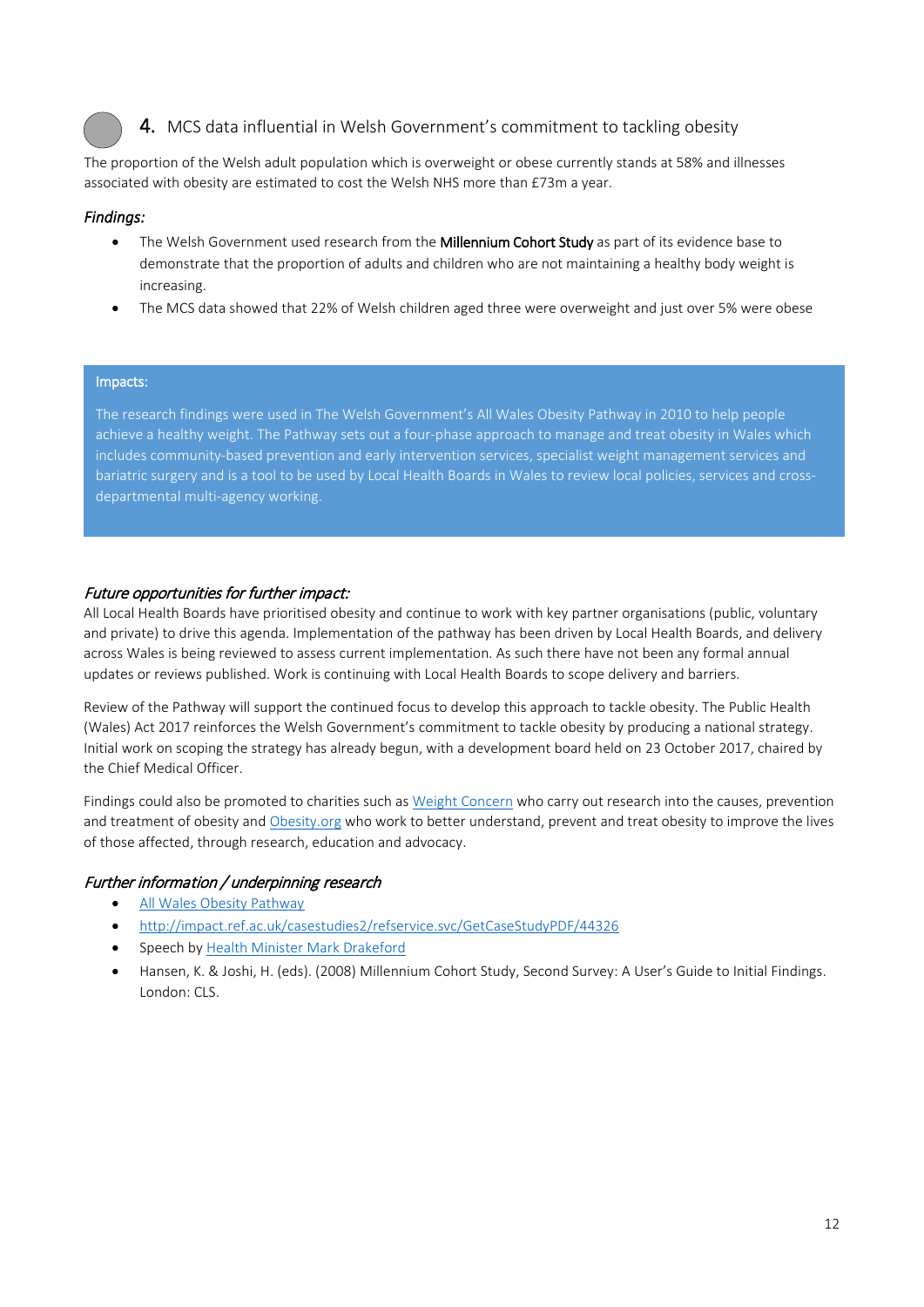

# 4. MCS data influential in Welsh Government's commitment to tackling obesity

The proportion of the Welsh adult population which is overweight or obese currently stands at 58% and illnesses associated with obesity are estimated to cost the Welsh NHS more than £73m a year.

#### *Findings:*

- The Welsh Government used research from the Millennium Cohort Study as part of its evidence base to demonstrate that the proportion of adults and children who are not maintaining a healthy body weight is increasing.
- The MCS data showed that 22% of Welsh children aged three were overweight and just over 5% were obese

#### Impacts:

The research findings were used in The Welsh Government's All Wales Obesity Pathway in 2010 to help people achieve a healthy weight. The Pathway sets out a four-phase approach to manage and treat obesity in Wales which includes community-based prevention and early intervention services, specialist weight management services and bariatric surgery and is a tool to be used by Local Health Boards in Wales to review local policies, services and crossdepartmental multi-agency working.

#### Future opportunities for further impact:

All Local Health Boards have prioritised obesity and continue to work with key partner organisations (public, voluntary and private) to drive this agenda. Implementation of the pathway has been driven by Local Health Boards, and delivery across Wales is being reviewed to assess current implementation. As such there have not been any formal annual updates or reviews published. Work is continuing with Local Health Boards to scope delivery and barriers.

Review of the Pathway will support the continued focus to develop this approach to tackle obesity. The Public Health (Wales) Act 2017 reinforces the Welsh Government's commitment to tackle obesity by producing a national strategy. Initial work on scoping the strategy has already begun, with a development board held on 23 October 2017, chaired by the Chief Medical Officer.

Findings could also be promoted to charities such as [Weight Concern](http://www.weightconcern.org.uk/) who carry out research into the causes, prevention and treatment of obesity and [Obesity.org](https://www.obesity.org/about/mission-vision) who work to better understand, prevent and treat obesity to improve the lives of those affected, through research, education and advocacy.

#### Further information / underpinning research

- [All Wales Obesity Pathway](http://gov.wales/topics/health/improvement/obesity/?lang=en)
- <http://impact.ref.ac.uk/casestudies2/refservice.svc/GetCaseStudyPDF/44326>
- Speech by [Health Minister Mark Drakeford](http://www.markdrakeford.com/report-on-obesity-treatment-in-wales-published/)
- Hansen, K. & Joshi, H. (eds). (2008) Millennium Cohort Study, Second Survey: A User's Guide to Initial Findings. London: CLS.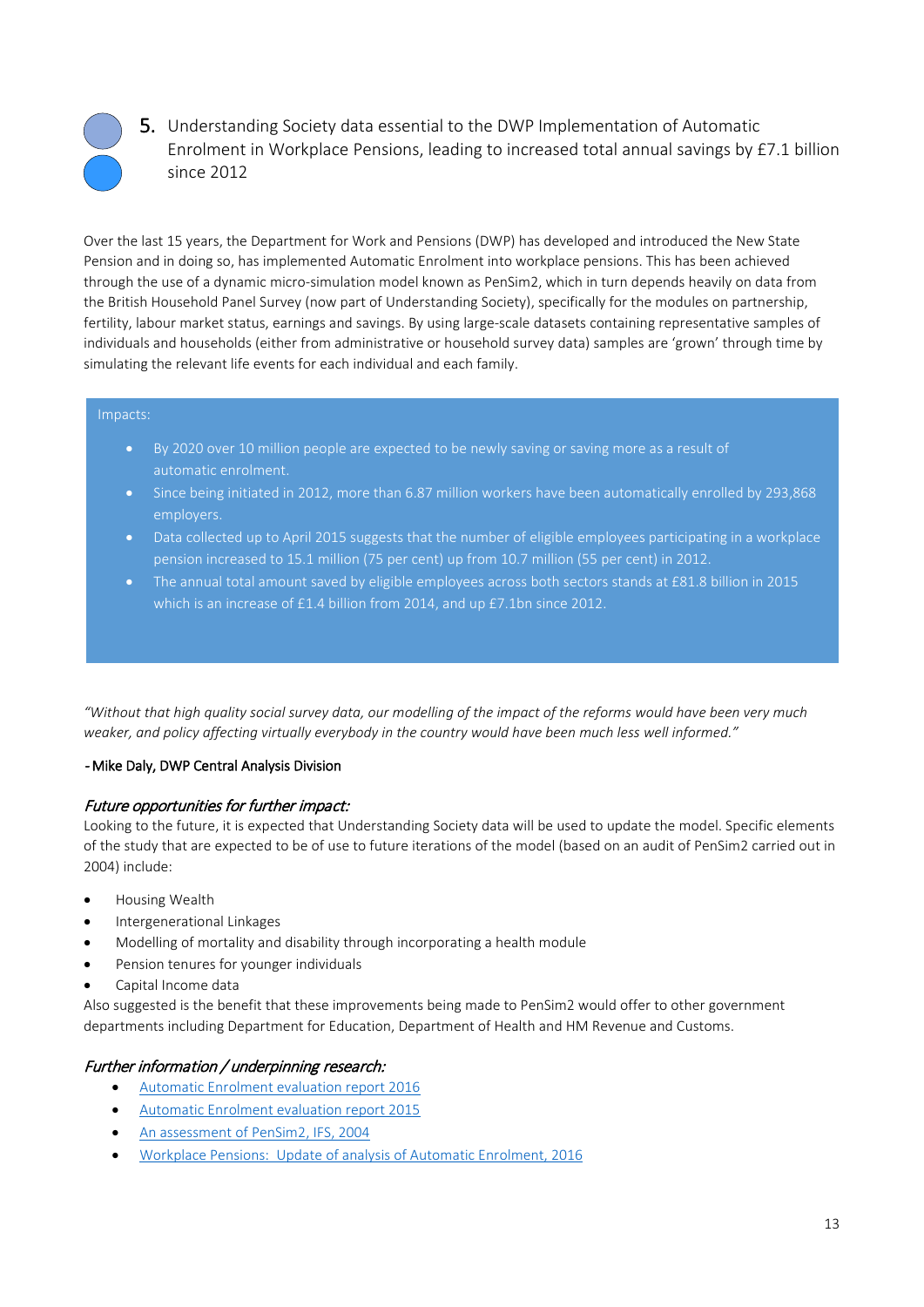

5. Understanding Society data essential to the DWP Implementation of Automatic Enrolment in Workplace Pensions, leading to increased total annual savings by £7.1 billion since 2012

Over the last 15 years, the Department for Work and Pensions (DWP) has developed and introduced the New State Pension and in doing so, has implemented Automatic Enrolment into workplace pensions. This has been achieved through the use of a dynamic micro-simulation model known as PenSim2, which in turn depends heavily on data from the British Household Panel Survey (now part of Understanding Society), specifically for the modules on partnership, fertility, labour market status, earnings and savings. By using large-scale datasets containing representative samples of individuals and households (either from administrative or household survey data) samples are 'grown' through time by simulating the relevant life events for each individual and each family.

#### Impacts:

- By 2020 over 10 million people are expected to be newly saving or saving more as a result of automatic enrolment.
- Since being initiated in 2012, more than 6.87 million workers have been automatically enrolled by 293,868 employers.
- Data collected up to April 2015 suggests that the number of eligible employees participating in a workplace pension increased to 15.1 million (75 per cent) up from 10.7 million (55 per cent) in 2012.
- The annual total amount saved by eligible employees across both sectors stands at £81.8 billion in 2015 which is an increase of £1.4 billion from 2014, and up £7.1bn since 2012.

*"Without that high quality social survey data, our modelling of the impact of the reforms would have been very much weaker, and policy affecting virtually everybody in the country would have been much less well informed."* 

#### - Mike Daly, DWP Central Analysis Division

#### Future opportunities for further impact:

Looking to the future, it is expected that Understanding Society data will be used to update the model. Specific elements of the study that are expected to be of use to future iterations of the model (based on an audit of PenSim2 carried out in 2004) include:

- Housing Wealth
- Intergenerational Linkages
- Modelling of mortality and disability through incorporating a health module
- Pension tenures for younger individuals
- Capital Income data

Also suggested is the benefit that these improvements being made to PenSim2 would offer to other government departments including Department for Education, Department of Health and HM Revenue and Customs.

# Further information / underpinning research:

- [Automatic Enrolment evaluation report 2016](https://www.gov.uk/government/uploads/system/uploads/attachment_data/file/576227/automatic-enrolment-evaluation-report-2016.pdf)
- [Automatic Enrolment evaluation report 2015](https://www.gov.uk/government/uploads/system/uploads/attachment_data/file/477176/rr909-automatic-enrolment-evaluation-2015.pdf)
- An [assessment of PenSim2, IFS, 2004](https://www.ifs.org.uk/publications/3215)
- Workplace Pensions: Update of analysis of Automatic Enrolment, 2016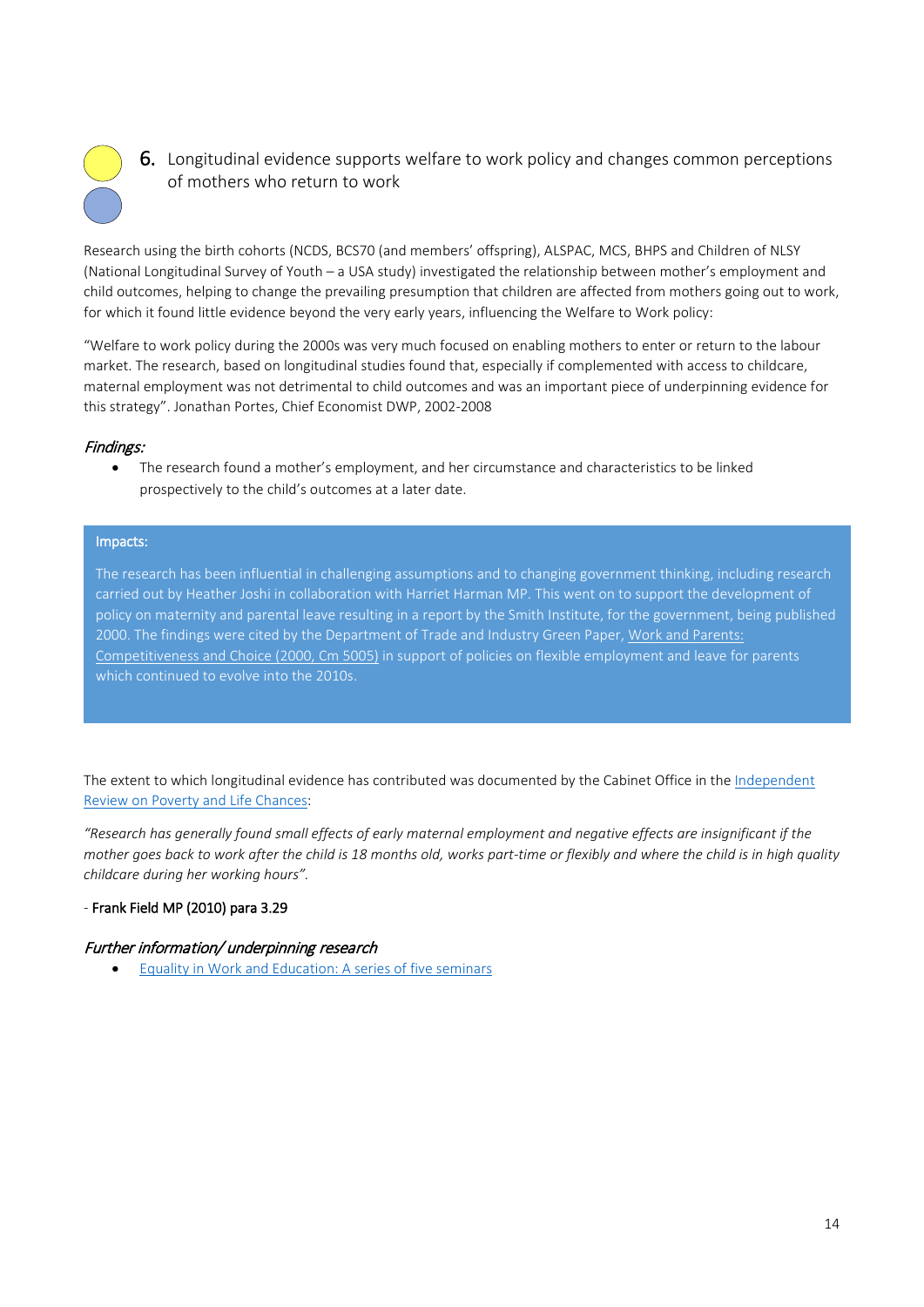

**6.** Longitudinal evidence supports welfare to work policy and changes common perceptions of mothers who return to work

Research using the birth cohorts (NCDS, BCS70 (and members' offspring), ALSPAC, MCS, BHPS and Children of NLSY (National Longitudinal Survey of Youth – a USA study) investigated the relationship between mother's employment and child outcomes, helping to change the prevailing presumption that children are affected from mothers going out to work, for which it found little evidence beyond the very early years, influencing the Welfare to Work policy:

"Welfare to work policy during the 2000s was very much focused on enabling mothers to enter or return to the labour market. The research, based on longitudinal studies found that, especially if complemented with access to childcare, maternal employment was not detrimental to child outcomes and was an important piece of underpinning evidence for this strategy". Jonathan Portes, Chief Economist DWP, 2002-2008

# Findings:

• The research found a mother's employment, and her circumstance and characteristics to be linked prospectively to the child's outcomes at a later date.

#### Impacts:

The research has been influential in challenging assumptions and to changing government thinking, including research carried out by Heather Joshi in collaboration with Harriet Harman MP. This went on to support the development of policy on maternity and parental leave resulting in a report by the Smith Institute, for the government, being published 2000. The findings were cited by the Department of Trade and Industry Green Paper, Work and Parents: [Competitiveness and Choice \(2000, Cm 5005\)](http://www.cms-lawnow.com/ealerts/2001/03/the-green-paper-work-and-parents-competitiveness-and-choice?cc_lang=en) in support of policies on flexible employment and leave for parents which continued to evolve into the 2010s.

The extent to which longitudinal evidence has contributed was documented by the Cabinet Office in th[e Independent](http://www.bristol.ac.uk/media-library/sites/ifssoca/migrated/documents/ffreport.pdf)  [Review on Poverty and Life Chances:](http://www.bristol.ac.uk/media-library/sites/ifssoca/migrated/documents/ffreport.pdf)

*"Research has generally found small effects of early maternal employment and negative effects are insignificant if the mother goes back to work after the child is 18 months old, works part-time or flexibly and where the child is in high quality childcare during her working hours".* 

#### *-* Frank Field MP (2010) para 3.29

#### Further information/ underpinning research

• [Equality in Work and Education: A series of five seminars](http://www.smith-institute.org.uk/book/equality-in-work-and-education-a-series-of-five-seminars/)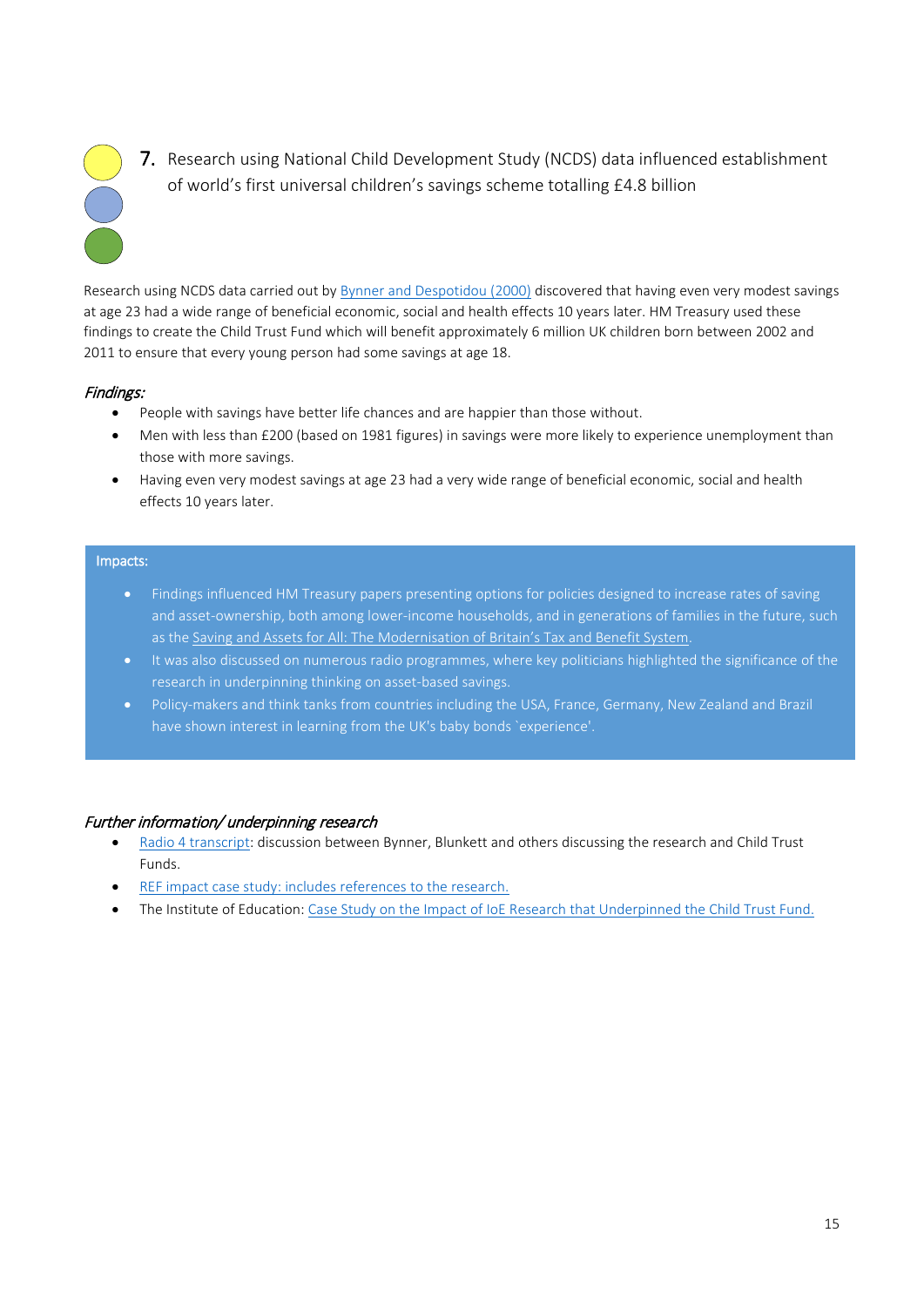

7. Research using National Child Development Study (NCDS) data influenced establishment of world's first universal children's savings scheme totalling £4.8 billion

Research using NCDS data carried out b[y Bynner and Despotidou \(2000\)](http://www.cls.ioe.ac.uk/shared/get-file.ashx?id=1734&itemtype=document) discovered that having even very modest savings at age 23 had a wide range of beneficial economic, social and health effects 10 years later. HM Treasury used these findings to create the Child Trust Fund which will benefit approximately 6 million UK children born between 2002 and 2011 to ensure that every young person had some savings at age 18.

# Findings:

- People with savings have better life chances and are happier than those without.
- Men with less than £200 (based on 1981 figures) in savings were more likely to experience unemployment than those with more savings.
- Having even very modest savings at age 23 had a very wide range of beneficial economic, social and health effects 10 years later.

#### Impacts:

- Findings influenced HM Treasury papers presenting options for policies designed to increase rates of saving and asset-ownership, both among lower-income households, and in generations of families in the future, such as th[e Saving and Assets for All: The Modernisation of Britain's Tax and Benefit System.](https://revenuebenefits.org.uk/pdf/savings_and_assets_for_all.pdf)
- It was also discussed on numerous radio programmes, where key politicians highlighted the significance of the research in underpinning thinking on asset-based savings.
- Policy-makers and think tanks from countries including the USA, France, Germany, New Zealand and Brazil have shown interest in learning from the UK's baby bonds `experience'.

#### Further information/ underpinning research

- [Radio 4 transcript:](http://news.bbc.co.uk/nol/shared/spl/hi/programmes/analysis/transcripts/18_08_05.txt) discussion between Bynner, Blunkett and others discussing the research and Child Trust Funds.
- REF [impact case study:](http://impact.ref.ac.uk/CaseStudies/CaseStudy.aspx?Id=44315) includes references to the research.
- The Institute of Education[: Case Study on the Impact of IoE Research that Underpinned the Child Trust Fund.](http://www.cls.ioe.ac.uk/library-media/documents/Impact%20case%20study%20-%20Child%20Trust%20Fund.pdf)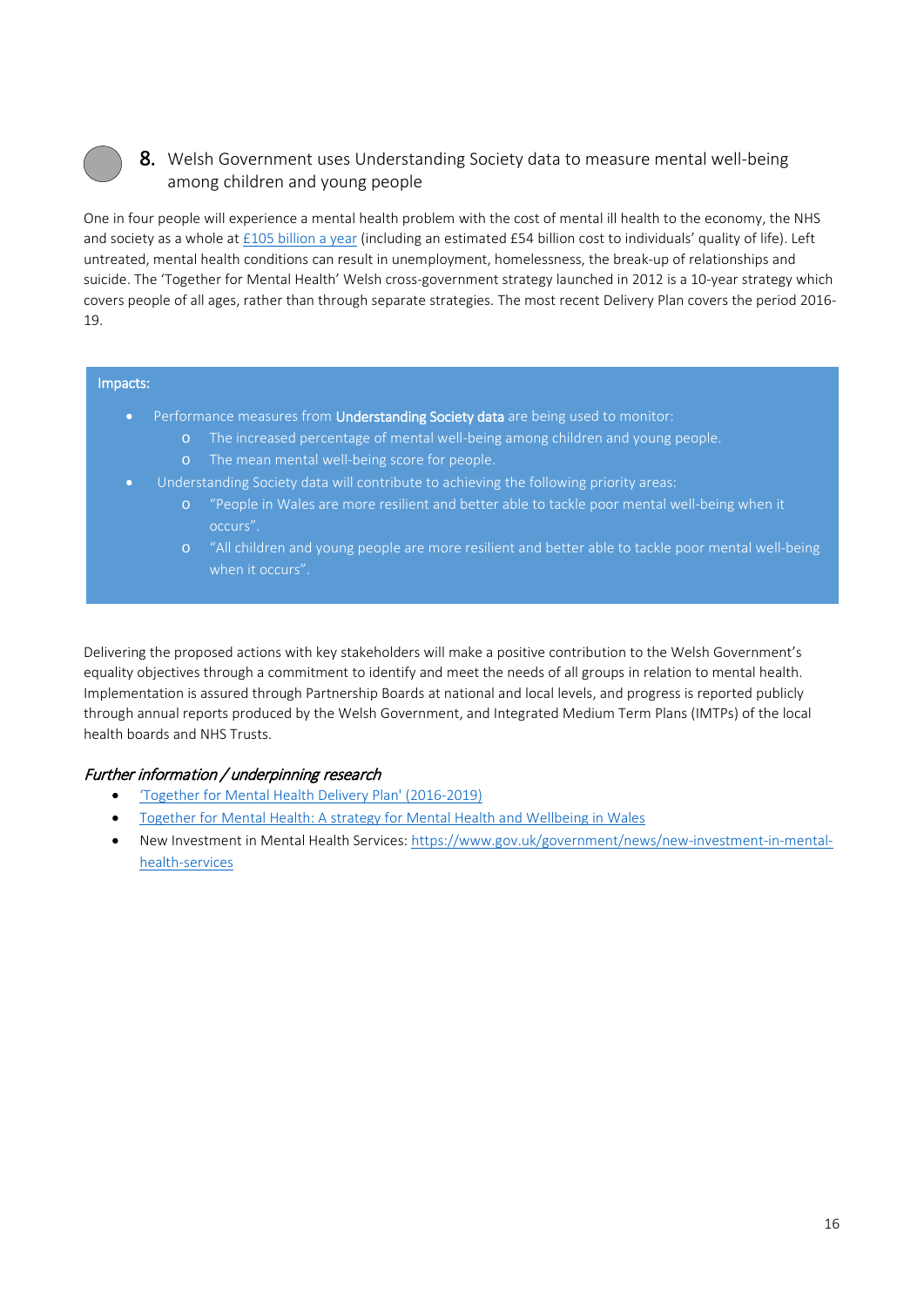# 8. Welsh Government uses Understanding Society data to measure mental well-being among children and young people

One in four people will experience a mental health problem with the cost of mental ill health to the economy, the NHS and society as a whole a[t £105 billion a year](https://www.england.nhs.uk/wp-content/uploads/2016/02/Mental-Health-Taskforce-FYFV-final.pdf) (including an estimated £54 billion cost to individuals' quality of life). Left untreated, mental health conditions can result in unemployment, homelessness, the break-up of relationships and suicide. The 'Together for Mental Health' Welsh cross-government strategy launched in 2012 is a 10-year strategy which covers people of all ages, rather than through separate strategies. The most recent Delivery Plan covers the period 2016- 19.

#### Impacts:

- Performance measures from Understanding Society data are being used to monitor:
	- o The increased percentage of mental well-being among children and young people.
	- o The mean mental well-being score for people.
	- Understanding Society data will contribute to achieving the following priority areas:
		- o "People in Wales are more resilient and better able to tackle poor mental well-being when it occurs".
		- o "All children and young people are more resilient and better able to tackle poor mental well-being when it occurs".

Delivering the proposed actions with key stakeholders will make a positive contribution to the Welsh Government's equality objectives through a commitment to identify and meet the needs of all groups in relation to mental health. Implementation is assured through Partnership Boards at national and local levels, and progress is reported publicly through annual reports produced by the Welsh Government, and Integrated Medium Term Plans (IMTPs) of the local health boards and NHS Trusts.

# Further information / underpinning research

- ['Together for Mental Health Delivery Plan' \(2016-2019\)](http://gov.wales/topics/health/nhswales/plans/mental-health/?lang=en)
- [Together for Mental Health: A strategy for Mental Health and Wellbeing in Wales](http://gov.wales/docs/dhss/publications/121031tmhfinalen.pdf)
- New Investment in Mental Health Services: [https://www.gov.uk/government/news/new-investment-in-mental](https://www.gov.uk/government/news/new-investment-in-mental-health-services)[health-services](https://www.gov.uk/government/news/new-investment-in-mental-health-services)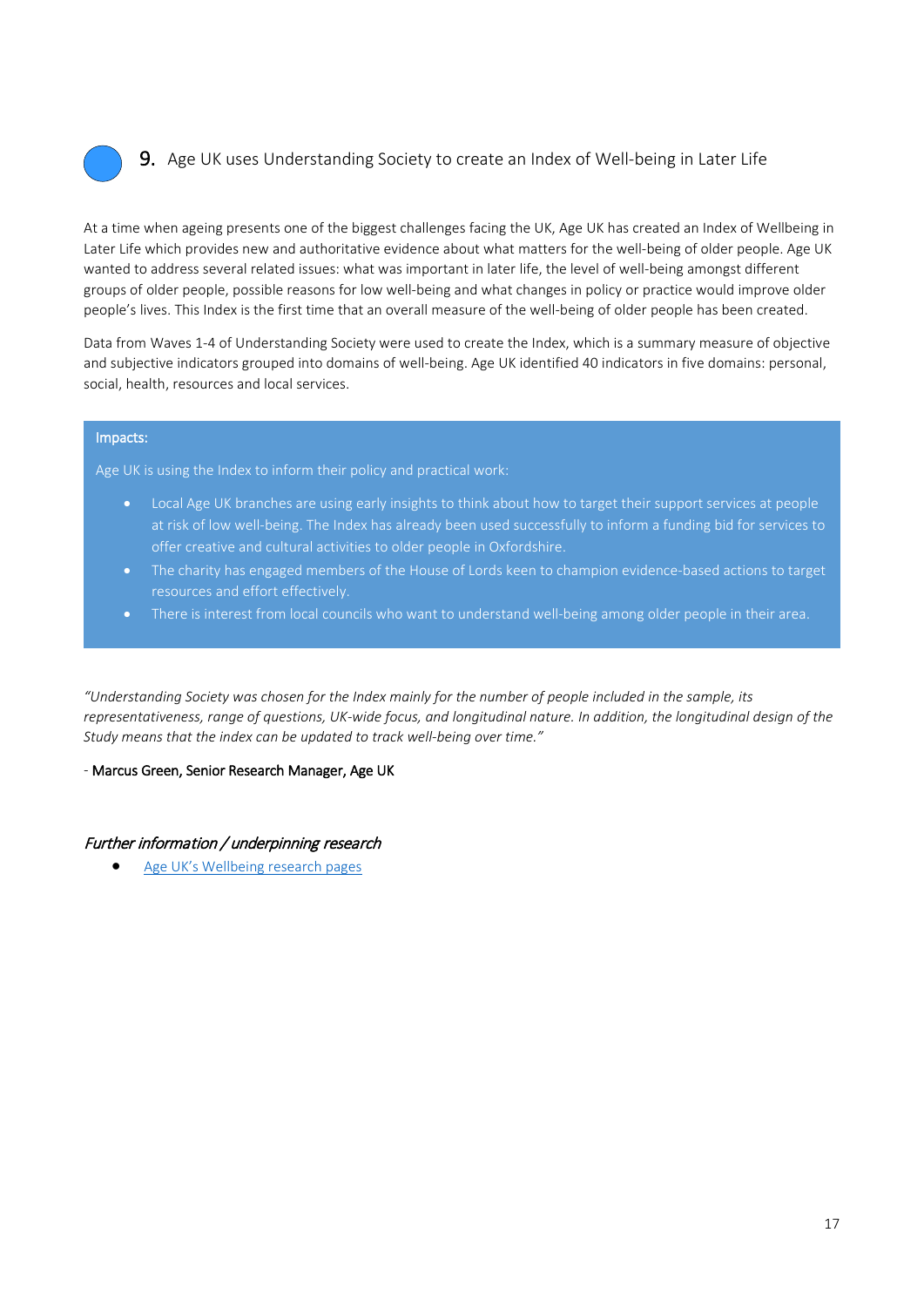

# 9. Age UK uses Understanding Society to create an Index of Well-being in Later Life

At a time when ageing presents one of the biggest challenges facing the UK, Age UK has created an Index of Wellbeing in Later Life which provides new and authoritative evidence about what matters for the well-being of older people. Age UK wanted to address several related issues: what was important in later life, the level of well-being amongst different groups of older people, possible reasons for low well-being and what changes in policy or practice would improve older people's lives. This Index is the first time that an overall measure of the well-being of older people has been created.

Data from Waves 1-4 of Understanding Society were used to create the Index, which is a summary measure of objective and subjective indicators grouped into domains of well-being. Age UK identified 40 indicators in five domains: personal, social, health, resources and local services.

#### Impacts:

Age UK is using the Index to inform their policy and practical work:

- Local Age UK branches are using early insights to think about how to target their support services at people at risk of low well-being. The Index has already been used successfully to inform a funding bid for services to offer creative and cultural activities to older people in Oxfordshire.
- The charity has engaged members of the House of Lords keen to champion evidence-based actions to target resources and effort effectively.
- There is interest from local councils who want to understand well-being among older people in their area.

*"Understanding Society was chosen for the Index mainly for the number of people included in the sample, its representativeness, range of questions, UK-wide focus, and longitudinal nature. In addition, the longitudinal design of the Study means that the index can be updated to track well-being over time."* 

#### *-* Marcus Green, Senior Research Manager, Age UK

#### Further information / underpinning research

• [Age UK's Wellbeing research pages](http://www.ageuk.org.uk/wellbeingresearch)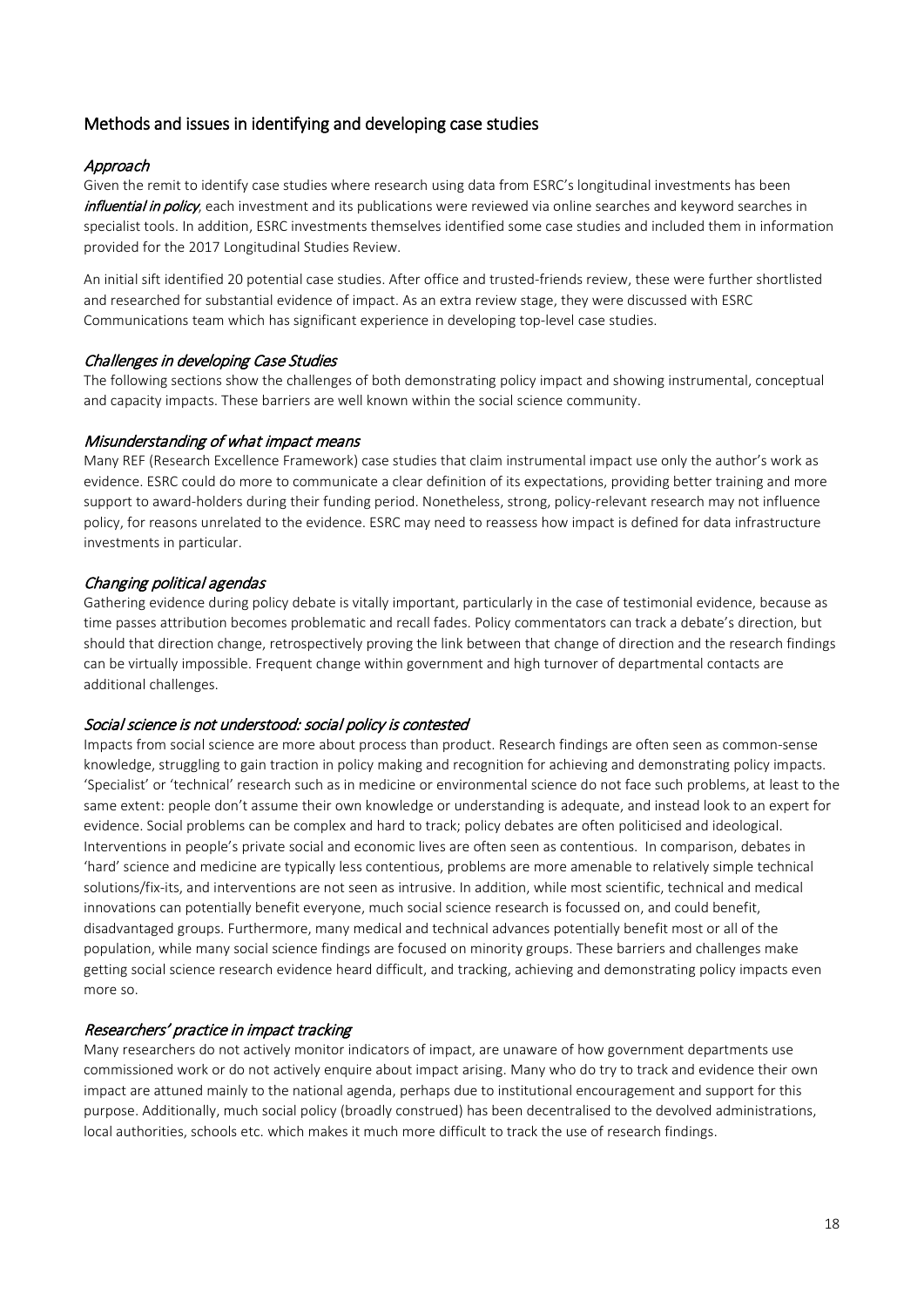# Methods and issues in identifying and developing case studies

#### Approach

Given the remit to identify case studies where research using data from ESRC's longitudinal investments has been influential in policy, each investment and its publications were reviewed via online searches and keyword searches in specialist tools. In addition, ESRC investments themselves identified some case studies and included them in information provided for the 2017 Longitudinal Studies Review.

An initial sift identified 20 potential case studies. After office and trusted-friends review, these were further shortlisted and researched for substantial evidence of impact. As an extra review stage, they were discussed with ESRC Communications team which has significant experience in developing top-level case studies.

#### Challenges in developing Case Studies

The following sections show the challenges of both demonstrating policy impact and showing instrumental, conceptual and capacity impacts. These barriers are well known within the social science community.

#### Misunderstanding of what impact means

Many REF (Research Excellence Framework) case studies that claim instrumental impact use only the author's work as evidence. ESRC could do more to communicate a clear definition of its expectations, providing better training and more support to award-holders during their funding period. Nonetheless, strong, policy-relevant research may not influence policy, for reasons unrelated to the evidence. ESRC may need to reassess how impact is defined for data infrastructure investments in particular.

#### Changing political agendas

Gathering evidence during policy debate is vitally important, particularly in the case of testimonial evidence, because as time passes attribution becomes problematic and recall fades. Policy commentators can track a debate's direction, but should that direction change, retrospectively proving the link between that change of direction and the research findings can be virtually impossible. Frequent change within government and high turnover of departmental contacts are additional challenges.

#### Social science is not understood: social policy is contested

Impacts from social science are more about process than product. Research findings are often seen as common-sense knowledge, struggling to gain traction in policy making and recognition for achieving and demonstrating policy impacts. 'Specialist' or 'technical' research such as in medicine or environmental science do not face such problems, at least to the same extent: people don't assume their own knowledge or understanding is adequate, and instead look to an expert for evidence. Social problems can be complex and hard to track; policy debates are often politicised and ideological. Interventions in people's private social and economic lives are often seen as contentious. In comparison, debates in 'hard' science and medicine are typically less contentious, problems are more amenable to relatively simple technical solutions/fix-its, and interventions are not seen as intrusive. In addition, while most scientific, technical and medical innovations can potentially benefit everyone, much social science research is focussed on, and could benefit, disadvantaged groups. Furthermore, many medical and technical advances potentially benefit most or all of the population, while many social science findings are focused on minority groups. These barriers and challenges make getting social science research evidence heard difficult, and tracking, achieving and demonstrating policy impacts even more so.

#### Researchers' practice in impact tracking

Many researchers do not actively monitor indicators of impact, are unaware of how government departments use commissioned work or do not actively enquire about impact arising. Many who do try to track and evidence their own impact are attuned mainly to the national agenda, perhaps due to institutional encouragement and support for this purpose. Additionally, much social policy (broadly construed) has been decentralised to the devolved administrations, local authorities, schools etc. which makes it much more difficult to track the use of research findings.